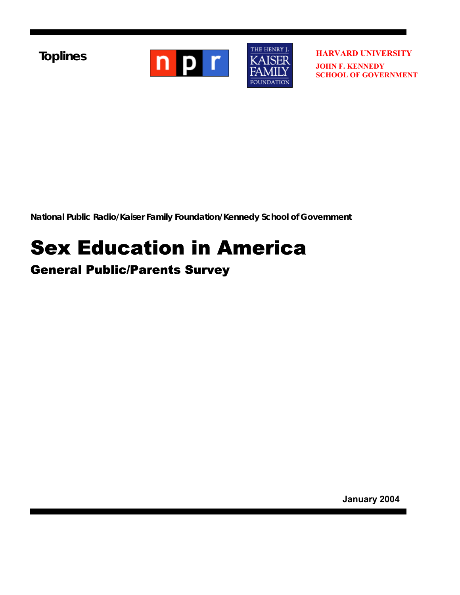**Toplines** 



**HARVARD UNIVERSITY JOHN F. KENNEDY SCHOOL OF GOVERNMENT**

**National Public Radio/Kaiser Family Foundation/Kennedy School of Government** 

# Sex Education in America General Public/Parents Survey

**January 2004**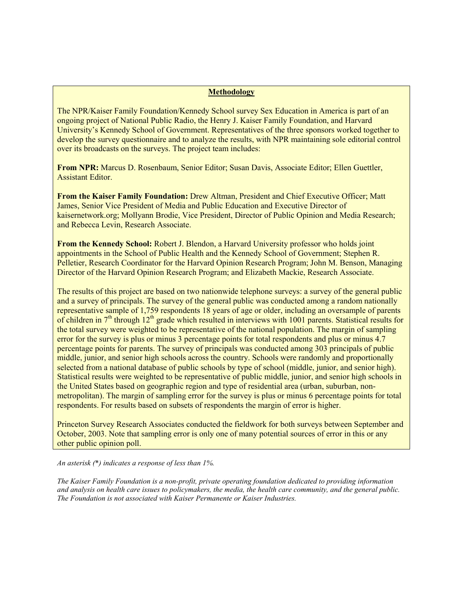#### **Methodology**

The NPR/Kaiser Family Foundation/Kennedy School survey Sex Education in America is part of an ongoing project of National Public Radio, the Henry J. Kaiser Family Foundation, and Harvard University's Kennedy School of Government. Representatives of the three sponsors worked together to develop the survey questionnaire and to analyze the results, with NPR maintaining sole editorial control over its broadcasts on the surveys. The project team includes:

**From NPR:** Marcus D. Rosenbaum, Senior Editor; Susan Davis, Associate Editor; Ellen Guettler, Assistant Editor.

**From the Kaiser Family Foundation:** Drew Altman, President and Chief Executive Officer; Matt James, Senior Vice President of Media and Public Education and Executive Director of kaisernetwork.org; Mollyann Brodie, Vice President, Director of Public Opinion and Media Research; and Rebecca Levin, Research Associate.

**From the Kennedy School:** Robert J. Blendon, a Harvard University professor who holds joint appointments in the School of Public Health and the Kennedy School of Government; Stephen R. Pelletier, Research Coordinator for the Harvard Opinion Research Program; John M. Benson, Managing Director of the Harvard Opinion Research Program; and Elizabeth Mackie, Research Associate.

The results of this project are based on two nationwide telephone surveys: a survey of the general public and a survey of principals. The survey of the general public was conducted among a random nationally representative sample of 1,759 respondents 18 years of age or older, including an oversample of parents of children in  $7<sup>th</sup>$  through 12<sup>th</sup> grade which resulted in interviews with 1001 parents. Statistical results for the total survey were weighted to be representative of the national population. The margin of sampling error for the survey is plus or minus 3 percentage points for total respondents and plus or minus 4.7 percentage points for parents. The survey of principals was conducted among 303 principals of public middle, junior, and senior high schools across the country. Schools were randomly and proportionally selected from a national database of public schools by type of school (middle, junior, and senior high). Statistical results were weighted to be representative of public middle, junior, and senior high schools in the United States based on geographic region and type of residential area (urban, suburban, nonmetropolitan). The margin of sampling error for the survey is plus or minus 6 percentage points for total respondents. For results based on subsets of respondents the margin of error is higher.

Princeton Survey Research Associates conducted the fieldwork for both surveys between September and October, 2003. Note that sampling error is only one of many potential sources of error in this or any other public opinion poll.

*An asterisk (*\**) indicates a response of less than 1%.* 

*The Kaiser Family Foundation is a non-profit, private operating foundation dedicated to providing information and analysis on health care issues to policymakers, the media, the health care community, and the general public. The Foundation is not associated with Kaiser Permanente or Kaiser Industries.*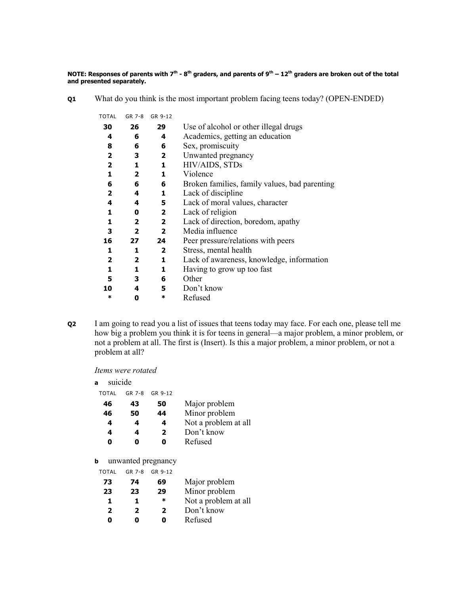**NOTE: Responses of parents with 7<sup>th</sup> - 8<sup>th</sup> graders, and parents of 9<sup>th</sup> – 12<sup>th</sup> graders are broken out of the total and presented separately.** 

**Q1** What do you think is the most important problem facing teens today? (OPEN-ENDED)

| TOTAL                   | GR 7-8                  | GR 9-12                 |                                               |
|-------------------------|-------------------------|-------------------------|-----------------------------------------------|
| 30                      | 26                      | 29                      | Use of alcohol or other illegal drugs         |
| 4                       | 6                       | 4                       | Academics, getting an education               |
| 8                       | 6                       | 6                       | Sex, promiscuity                              |
| 2                       | З                       | 2                       | Unwanted pregnancy                            |
| $\overline{\mathbf{2}}$ | 1                       | 1                       | HIV/AIDS, STDs                                |
| 1                       | $\mathbf{2}$            | 1                       | Violence                                      |
| 6                       | 6                       | 6                       | Broken families, family values, bad parenting |
| $\mathbf{2}$            | 4                       | 1                       | Lack of discipline                            |
| 4                       | 4                       | 5                       | Lack of moral values, character               |
| 1                       | 0                       | $\overline{2}$          | Lack of religion                              |
| 1                       | $\overline{\mathbf{2}}$ | $\overline{2}$          | Lack of direction, boredom, apathy            |
| з                       | $\overline{\mathbf{2}}$ | $\overline{\mathbf{2}}$ | Media influence                               |
| 16                      | 27                      | 24                      | Peer pressure/relations with peers            |
| 1                       | 1                       | $\overline{2}$          | Stress, mental health                         |
| $\mathbf{2}$            | $\mathbf{2}$            | 1                       | Lack of awareness, knowledge, information     |
| 1                       | 1                       | 1                       | Having to grow up too fast                    |
| 5                       | 3                       | 6                       | Other                                         |
| 10                      | 4                       | 5                       | Don't know                                    |
| ∗                       | 0                       | *                       | Refused                                       |
|                         |                         |                         |                                               |

**Q2** I am going to read you a list of issues that teens today may face. For each one, please tell me how big a problem you think it is for teens in general—a major problem, a minor problem, or not a problem at all. The first is (Insert). Is this a major problem, a minor problem, or not a problem at all?

*Items were rotated* 

| suicide<br>a |  |
|--------------|--|
|--------------|--|

| TOTAL | GR 7-8 | GR 9-12      |                      |
|-------|--------|--------------|----------------------|
| 46    | 43     | 50           | Major problem        |
| 46    | 50     | 44           | Minor problem        |
| 4     | 4      | 4            | Not a problem at all |
| 4     | 4      | $\mathbf{2}$ | Don't know           |
| 0     | Ω      | 0            | Refused              |
|       |        |              |                      |
|       |        |              |                      |

**b** unwanted pregnancy

| 73           | 74           | 69           | Major problem        |
|--------------|--------------|--------------|----------------------|
| 23           | 23           | 29           | Minor problem        |
| 1            | 1            | ж            | Not a problem at all |
| $\mathbf{2}$ | $\mathbf{2}$ | $\mathbf{2}$ | Don't know           |
| ŋ            | Ω            | Ω            | Refused              |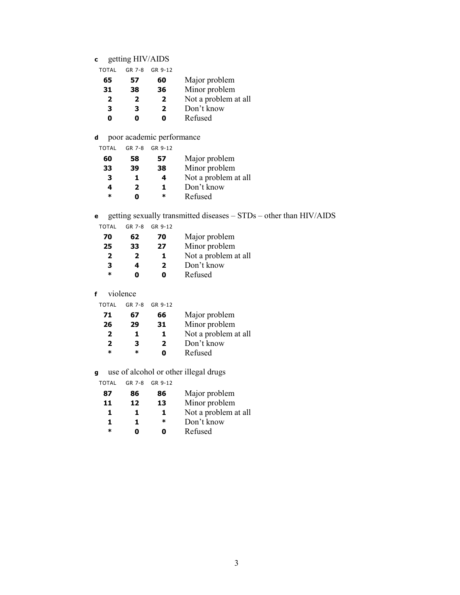# **c** getting HIV/AIDS

| TOTAL | GR 7-8 | GR 9-12 |                      |
|-------|--------|---------|----------------------|
| 65    | 57     | 60      | Major problem        |
| 31    | 38     | 36      | Minor problem        |
| 2     | 2      | 2       | Not a problem at all |
| 3     | з      | 2       | Don't know           |
| ŋ     | n      |         | Refused              |

# **d** poor academic performance

| TOTAL  | GR 7-8 | GR 9-12 |                      |
|--------|--------|---------|----------------------|
| 60     | 58     | 57      | Major problem        |
| 33     | 39     | 38      | Minor problem        |
| з      | 1.     | 4       | Not a problem at all |
| 4      | 2      | Т.      | Don't know           |
| $\ast$ | n      | ж       | Refused              |

# **e** getting sexually transmitted diseases – STDs – other than HIV/AIDS

TOTAL GR 7-8 GR 9-12

| 70 | 62 | 70                  | Major problem        |
|----|----|---------------------|----------------------|
| 25 | 33 | Minor problem<br>27 |                      |
| 2  | 2  | ı                   | Not a problem at all |
| 3  | 4  | 2                   | Don't know           |
| *  |    | n                   | Refused              |

# **f** violence

| TOTAL  | $GR$ 7-8 | GR 9-12 |                      |
|--------|----------|---------|----------------------|
| 71     | 67       | 66      | Major problem        |
| 26     | 29       | 31      | Minor problem        |
| 2      | 1.       | ı       | Not a problem at all |
| 2      | 3        | 2       | Don't know           |
| $\ast$ | ж        |         | Refused              |
|        |          |         |                      |

# **g** use of alcohol or other illegal drugs

| TOTAL  |    | GR 7-8 GR 9-12 |                      |
|--------|----|----------------|----------------------|
| 87     | 86 | 86             | Major problem        |
| 11     | 12 | 13             | Minor problem        |
| 1.     | 1. | п.             | Not a problem at all |
| 1.     | 1. | ∗              | Don't know           |
| $\ast$ |    |                | Refused              |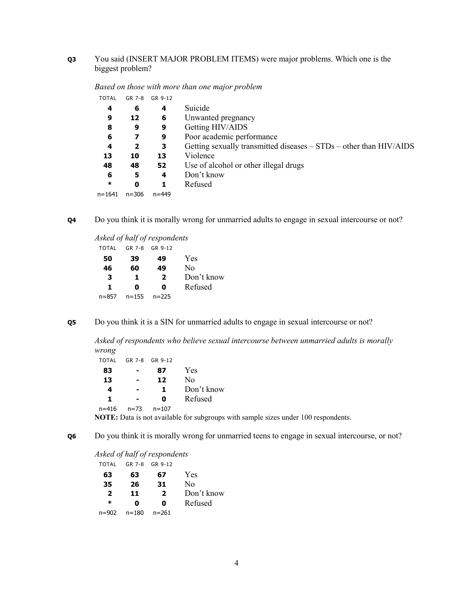# **Q3** You said (INSERT MAJOR PROBLEM ITEMS) were major problems. Which one is the biggest problem?

| 4      | 6         | 4         | Suicide                                                            |
|--------|-----------|-----------|--------------------------------------------------------------------|
| 9      | 12        | 6         | Unwanted pregnancy                                                 |
| 8      | 9         | 9         | Getting HIV/AIDS                                                   |
| 6      |           | 9         | Poor academic performance                                          |
| 4      | 2         | 3         | Getting sexually transmitted diseases – STDs – other than HIV/AIDS |
| 13     | 10        | 13        | Violence                                                           |
| 48     | 48        | 52        | Use of alcohol or other illegal drugs                              |
| 6      | 5         | 4         | Don't know                                                         |
| $\ast$ | 0         |           | Refused                                                            |
| n=1641 | $n = 306$ | $n = 449$ |                                                                    |
|        |           |           |                                                                    |

*Based on those with more than one major problem*  TOTAL GR 7-8 GR 9-12

**Q4** Do you think it is morally wrong for unmarried adults to engage in sexual intercourse or not?

*Asked of half of respondents*  TOTAL GR 7-8 GR 9-12

| 50        | 39        | 49           | Yes        |
|-----------|-----------|--------------|------------|
| 46        | 60        | 49           | No         |
| 3         | 1.        | $\mathbf{z}$ | Don't know |
| 1         | n         | O            | Refused    |
| $n = 857$ | $n = 155$ | $n = 225$    |            |

**Q5** Do you think it is a SIN for unmarried adults to engage in sexual intercourse or not?

*Asked of respondents who believe sexual intercourse between unmarried adults is morally wrong* 

| <b>TOTAL</b> |          | GR 7-8 GR 9-12 |            |
|--------------|----------|----------------|------------|
| 83           |          | 87             | Yes        |
| 13           | -        | 12             | No         |
| 4            |          | 1.             | Don't know |
| 1.           | -        | O              | Refused    |
| $n = 416$    | $n = 73$ | $n = 107$      |            |

**NOTE:** Data is not available for subgroups with sample sizes under 100 respondents.

**Q6** Do you think it is morally wrong for unmarried teens to engage in sexual intercourse, or not?

*Asked of half of respondents* 

| <b>TOTAL</b> |           | GR 7-8 GR 9-12 |                |
|--------------|-----------|----------------|----------------|
| 63           | 63        | 67             | Yes            |
| 35           | 26        | 31             | N <sub>0</sub> |
| 2            | 11        | $\overline{2}$ | Don't know     |
| $\ast$       | 0         | 0              | Refused        |
| $n = 902$    | $n = 180$ | n=261          |                |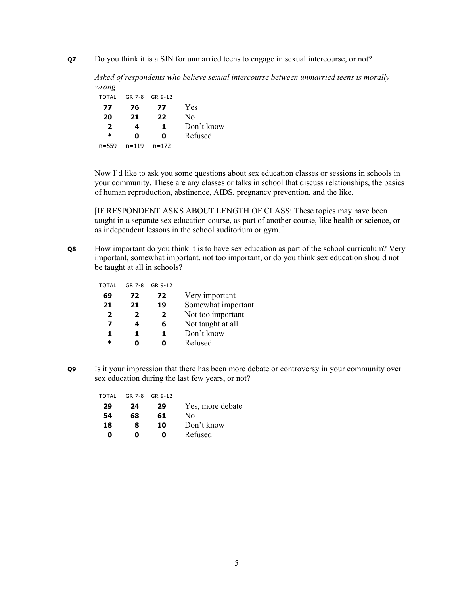**Q7** Do you think it is a SIN for unmarried teens to engage in sexual intercourse, or not?

*Asked of respondents who believe sexual intercourse between unmarried teens is morally wrong* 

| TOTAL     | GR 7-8    | GR 9-12   |            |
|-----------|-----------|-----------|------------|
| 77        | 76        | 77        | Yes        |
| 20        | 21        | 22        | No         |
| 2         | 4         | 1.        | Don't know |
| ж         | n         | n         | Refused    |
| $n = 559$ | $n = 119$ | $n = 172$ |            |

 Now I'd like to ask you some questions about sex education classes or sessions in schools in your community. These are any classes or talks in school that discuss relationships, the basics of human reproduction, abstinence, AIDS, pregnancy prevention, and the like.

[IF RESPONDENT ASKS ABOUT LENGTH OF CLASS: These topics may have been taught in a separate sex education course, as part of another course, like health or science, or as independent lessons in the school auditorium or gym. ]

**Q8** How important do you think it is to have sex education as part of the school curriculum? Very important, somewhat important, not too important, or do you think sex education should not be taught at all in schools?

| TOTAL        | GR 7-8         | GR 9-12 |                    |
|--------------|----------------|---------|--------------------|
| 69           | 72             | 72      | Very important     |
| 21           | 21             | 19      | Somewhat important |
| $\mathbf{2}$ | $\overline{2}$ | 2       | Not too important  |
| 7            | 4              | 6       | Not taught at all  |
| 1            | 1.             | 1.      | Don't know         |
| $\ast$       |                |         | Refused            |
|              |                |         |                    |

**Q9** Is it your impression that there has been more debate or controversy in your community over sex education during the last few years, or not?

| TOTAL | GR 7-8 | GR 9-12 |                  |
|-------|--------|---------|------------------|
| 29    | 24     | 29      | Yes, more debate |
| 54    | 68     | 61      | Nο               |
| 18    | 8      | 10      | Don't know       |
| Ω     | n      | Ω       | Refused          |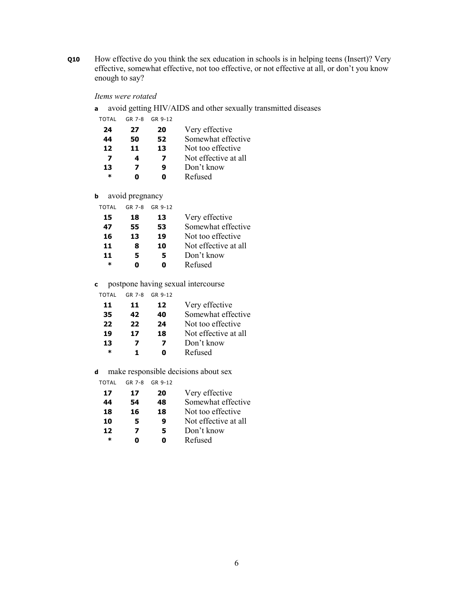**Q10** How effective do you think the sex education in schools is in helping teens (Insert)? Very effective, somewhat effective, not too effective, or not effective at all, or don't you know enough to say?

#### *Items were rotated*

**a** avoid getting HIV/AIDS and other sexually transmitted diseases

| TOTAL  | GR 7-8 | GR 9-12 |                      |
|--------|--------|---------|----------------------|
| 24     | 27     | 20      | Very effective       |
| 44     | 50     | 52      | Somewhat effective   |
| 12     | 11     | 13      | Not too effective    |
| 7      | 4      | 7       | Not effective at all |
| 13     | 7      | 9       | Don't know           |
| $\ast$ | П      |         | Refused              |
|        |        |         |                      |

**b** avoid pregnancy

| TOTAL  | GR 7-8 | GR 9-12 |                      |
|--------|--------|---------|----------------------|
| 15     | 18     | 13      | Very effective       |
| 47     | 55     | 53      | Somewhat effective   |
| 16     | 13     | 19      | Not too effective    |
| 11     | 8      | 10      | Not effective at all |
| 11     | 5      | 5       | Don't know           |
| $\ast$ | n      |         | Refused              |
|        |        |         |                      |

**c** postpone having sexual intercourse

| ΤΩΤΑΙ  | GR 7-8 | GR 9-12 |                      |
|--------|--------|---------|----------------------|
| 11     | 11     | 12      | Very effective       |
| 35     | 42     | 40      | Somewhat effective   |
| 22     | 22     | 24      | Not too effective    |
| 19     | 17     | 18      | Not effective at all |
| 13     | 7      | 7       | Don't know           |
| $\ast$ | 1.     |         | Refused              |
|        |        |         |                      |

**d** make responsible decisions about sex

| TOTAL  | GR 7-8 | GR 9-12 |                      |
|--------|--------|---------|----------------------|
| 17     | 17     | 20      | Very effective       |
| 44     | 54     | 48      | Somewhat effective   |
| 18     | 16     | 18      | Not too effective    |
| 10     | 5      | 9       | Not effective at all |
| 12     | 7      | 5       | Don't know           |
| $\ast$ |        |         | Refused              |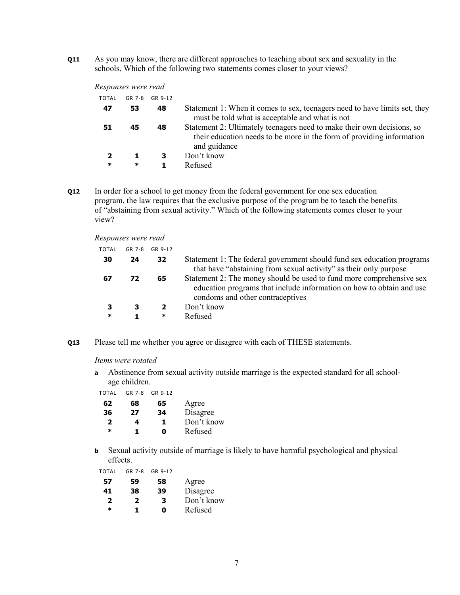**Q11** As you may know, there are different approaches to teaching about sex and sexuality in the schools. Which of the following two statements comes closer to your views?

#### *Responses were read*

| TOTAL  | GR 7-8 | GR 9-12 |                                                                                                                                                                 |
|--------|--------|---------|-----------------------------------------------------------------------------------------------------------------------------------------------------------------|
| 47     | 53     | 48      | Statement 1: When it comes to sex, teenagers need to have limits set, they<br>must be told what is acceptable and what is not                                   |
| 51     | 45     | 48      | Statement 2: Ultimately teenagers need to make their own decisions, so<br>their education needs to be more in the form of providing information<br>and guidance |
|        |        | 3       | Don't know                                                                                                                                                      |
| $\ast$ | ∗      |         | Refused                                                                                                                                                         |

**Q12** In order for a school to get money from the federal government for one sex education program, the law requires that the exclusive purpose of the program be to teach the benefits of "abstaining from sexual activity." Which of the following statements comes closer to your view?

*Responses were read* 

| TOTAL  | GR 7-8 | GR 9-12      |                                                                                                                                                                                  |
|--------|--------|--------------|----------------------------------------------------------------------------------------------------------------------------------------------------------------------------------|
| 30     | 24     | 32           | Statement 1: The federal government should fund sex education programs<br>that have "abstaining from sexual activity" as their only purpose                                      |
| 67     | 72     | 65           | Statement 2: The money should be used to fund more comprehensive sex<br>education programs that include information on how to obtain and use<br>condoms and other contraceptives |
|        | 3      | $\mathbf{2}$ | Don't know                                                                                                                                                                       |
| $\ast$ |        | ∗            | Refused                                                                                                                                                                          |
|        |        |              |                                                                                                                                                                                  |

**Q13** Please tell me whether you agree or disagree with each of THESE statements.

#### *Items were rotated*

**a** Abstinence from sexual activity outside marriage is the expected standard for all schoolage children.

| TOTAL | GR 7-8 | GR 9-12 |            |
|-------|--------|---------|------------|
| 62    | 68     | 65      | Agree      |
| 36    | 27     | 34      | Disagree   |
| 2     | 4      | 1.      | Don't know |
| *     | 1.     | Ω       | Refused    |

**b** Sexual activity outside of marriage is likely to have harmful psychological and physical effects.

TOTAL GR 7-8 GR 9-12

| 57           | 59           | 58 | Agree      |
|--------------|--------------|----|------------|
| 41           | 38           | 39 | Disagree   |
| $\mathbf{2}$ | $\mathbf{2}$ | 3  | Don't know |
| $\ast$       | 1.           | 0  | Refused    |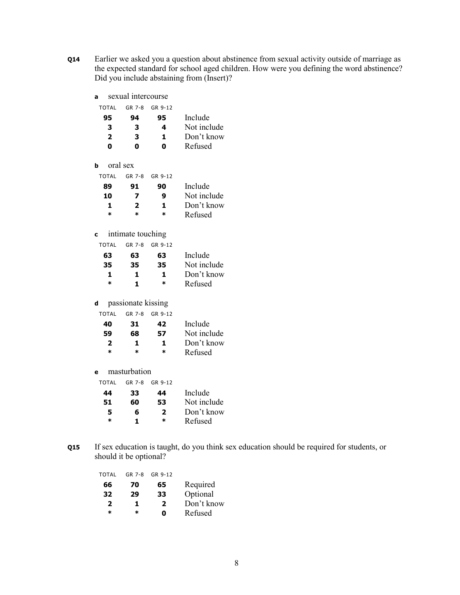- **Q14** Earlier we asked you a question about abstinence from sexual activity outside of marriage as the expected standard for school aged children. How were you defining the word abstinence? Did you include abstaining from (Insert)?
	- TOTAL GR 7-8 GR 9-12 **95 94 95** Include **3 3 4 Not include**<br>**2 3 1 Don't know 2 3 1** Don't know<br>**0 0 0** Refused **0 0 0** Refused **b** oral sex TOTAL GR 7-8 GR 9-12 **89 91 90** Include **10 7 9** Not include **1 2 1** Don't know **\* \* \*** Refused

#### **c** intimate touching

**a** sexual intercourse

| TOTAL  | GR 7-8 | GR 9-12 |             |
|--------|--------|---------|-------------|
| 63     | 63     | 63      | Include     |
| 35     | 35     | 35      | Not include |
| 1.     | 1.     | 1.      | Don't know  |
| $\ast$ | 1.     | *       | Refused     |

**d** passionate kissing

| TOTAL   | GR 7-8 | GR 9-12 |             |
|---------|--------|---------|-------------|
| 40      | 31     | 42      | Include     |
| 59      | 68     | 57      | Not include |
| 2       | 1.     | 1.      | Don't know  |
| $\star$ | ж      | $\star$ | Refused     |
|         |        |         |             |

**e** masturbation

| Include     |
|-------------|
| Not include |
| Don't know  |
| Refused     |
|             |

**Q15** If sex education is taught, do you think sex education should be required for students, or should it be optional?

| <b>TOTAL</b> | GR 7-8 | GR 9-12 |            |
|--------------|--------|---------|------------|
| 66           | 70     | 65      | Required   |
| 32           | 29     | 33      | Optional   |
| 2            | 1.     | 2       | Don't know |
| $\ast$       | ж      | Ω       | Refused    |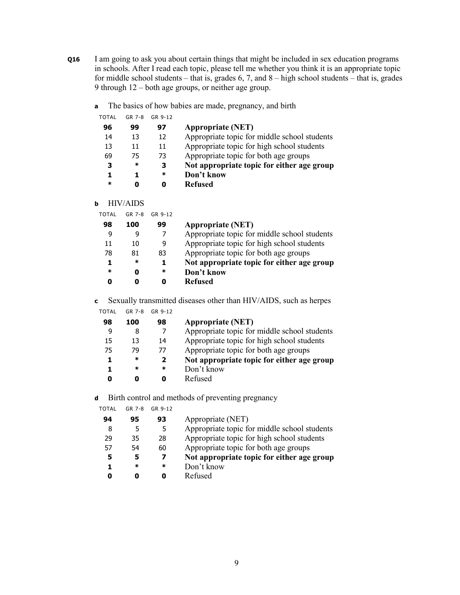- **Q16** I am going to ask you about certain things that might be included in sex education programs in schools. After I read each topic, please tell me whether you think it is an appropriate topic for middle school students – that is, grades  $6, 7$ , and  $8$  – high school students – that is, grades 9 through 12 – both age groups, or neither age group.
	- **a** The basics of how babies are made, pregnancy, and birth

| TOTAL | GR 7-8 | GR 9-12 |                                              |
|-------|--------|---------|----------------------------------------------|
| 96    | 99     | 97      | <b>Appropriate (NET)</b>                     |
| 14    | 13     | 12      | Appropriate topic for middle school students |
| 13    | 11     | 11      | Appropriate topic for high school students   |
| 69    | 75     | 73      | Appropriate topic for both age groups        |
| з     | ∗      | з       | Not appropriate topic for either age group   |
| 1     |        | *       | Don't know                                   |
| ж     |        | n       | Refused                                      |

**b** HIV/AIDS

| TOTAL  | GR 7-8 | GR 9-12 |                                              |
|--------|--------|---------|----------------------------------------------|
| 98     | 100    | 99      | <b>Appropriate (NET)</b>                     |
| 9      |        |         | Appropriate topic for middle school students |
| 11     | 10     | 9       | Appropriate topic for high school students   |
| 78     | 81     | 83      | Appropriate topic for both age groups        |
| 1      | ∗      | 1.      | Not appropriate topic for either age group   |
| $\ast$ |        | *       | Don't know                                   |
| Ω      |        | O       | <b>Refused</b>                               |
|        |        |         |                                              |

**c** Sexually transmitted diseases other than HIV/AIDS, such as herpes

| TOTAL | GR 7-8 | GR 9-12                  |                                              |
|-------|--------|--------------------------|----------------------------------------------|
| 98    | 100    | 98                       | <b>Appropriate (NET)</b>                     |
| 9     | 8      |                          | Appropriate topic for middle school students |
| 15    | 13     | 14                       | Appropriate topic for high school students   |
| 75    | 79     | 77                       | Appropriate topic for both age groups        |
|       | ∗      | $\overline{\phantom{a}}$ | Not appropriate topic for either age group   |
|       | ∗      | ж                        | Don't know                                   |

**0 0 0** Refused

**d** Birth control and methods of preventing pregnancy

| TOTAL | GR 7-8 | GR 9-12 |                                              |
|-------|--------|---------|----------------------------------------------|
| 94    | 95     | 93      | Appropriate (NET)                            |
| 8     |        | 5       | Appropriate topic for middle school students |
| 29    | 35     | 28      | Appropriate topic for high school students   |
| 57    | 54     | 60      | Appropriate topic for both age groups        |
| 5     | 5      | 7       | Not appropriate topic for either age group   |
| 1     | ж      | ∗       | Don't know                                   |
| Ω     |        | O       | Refused                                      |
|       |        |         |                                              |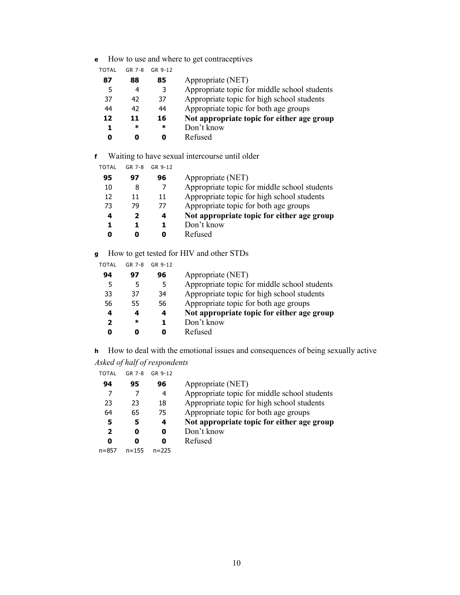**e** How to use and where to get contraceptives

| TOTAL | GR 7-8 | GR 9-12 |                                              |
|-------|--------|---------|----------------------------------------------|
| 87    | 88     | 85      | Appropriate (NET)                            |
| 5     |        | 3       | Appropriate topic for middle school students |
| 37    | 42     | 37      | Appropriate topic for high school students   |
| 44    | 42     | 44      | Appropriate topic for both age groups        |
| 12    | 11     | 16      | Not appropriate topic for either age group   |
| 1     | ∗      | ∗       | Don't know                                   |
| n     |        |         | Refused                                      |

**f** Waiting to have sexual intercourse until older

| TOTAL | GR 7-8 | GR 9-12 |                                              |
|-------|--------|---------|----------------------------------------------|
| 95    | 97     | 96      | Appropriate (NET)                            |
| 10    | 8      |         | Appropriate topic for middle school students |
| 12    | 11     | 11      | Appropriate topic for high school students   |
| 73    | 79     | 77      | Appropriate topic for both age groups        |
| 4     | 2      | 4       | Not appropriate topic for either age group   |
| 1     |        |         | Don't know                                   |
|       |        | O       | Refused                                      |
|       |        |         |                                              |

**g** How to get tested for HIV and other STDs

| TOTAL | GR 7-8 | GR 9-12 |                                              |
|-------|--------|---------|----------------------------------------------|
| 94    | 97     | 96      | Appropriate (NET)                            |
| 5     | 5      | 5       | Appropriate topic for middle school students |
| 33    | 37     | 34      | Appropriate topic for high school students   |
| 56    | 55     | 56      | Appropriate topic for both age groups        |
| 4     | 4      | 4       | Not appropriate topic for either age group   |
| 2     | *      | 1       | Don't know                                   |
| Ω     |        | O       | Refused                                      |
|       |        |         |                                              |

**h** How to deal with the emotional issues and consequences of being sexually active *Asked of half of respondents* 

| TOTAL GR 7-8 GR 9-12 |  |
|----------------------|--|
|                      |  |

| 94    | 95        | 96        | Appropriate (NET)                            |
|-------|-----------|-----------|----------------------------------------------|
|       |           | 4         | Appropriate topic for middle school students |
| 23    | 23        | 18        | Appropriate topic for high school students   |
| 64    | 65        | 75        | Appropriate topic for both age groups        |
| 5     |           | 4         | Not appropriate topic for either age group   |
| 2     |           | 0         | Don't know                                   |
| 0     |           | O         | Refused                                      |
| n=857 | $n = 155$ | $n = 225$ |                                              |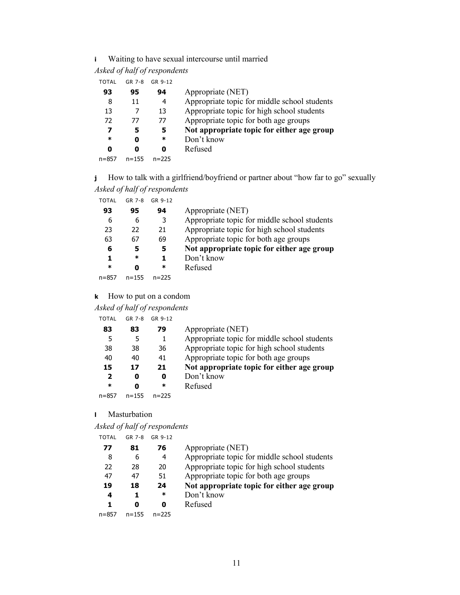# **i** Waiting to have sexual intercourse until married

#### *Asked of half of respondents*

TOTAL GR 7-8 GR 9-12

| 93        | 95        | 94        | Appropriate (NET)                            |
|-----------|-----------|-----------|----------------------------------------------|
| 8         | 11        | 4         | Appropriate topic for middle school students |
| 13        |           | 13        | Appropriate topic for high school students   |
| 72        | 77        | 77        | Appropriate topic for both age groups        |
| 7         | 5         | 5         | Not appropriate topic for either age group   |
| $\ast$    |           | *         | Don't know                                   |
| n         |           | 0         | Refused                                      |
| $n = 857$ | $n = 155$ | $n = 225$ |                                              |

**j** How to talk with a girlfriend/boyfriend or partner about "how far to go" sexually *Asked of half of respondents* 

| TOTAL | GR 7-8    | GR 9-12   |                                              |
|-------|-----------|-----------|----------------------------------------------|
| 93    | 95        | 94        | Appropriate (NET)                            |
| 6     | 6         | 3         | Appropriate topic for middle school students |
| 23    | 22        | 21        | Appropriate topic for high school students   |
| 63    | 67        | 69        | Appropriate topic for both age groups        |
| 6     | 5         | 5         | Not appropriate topic for either age group   |
| 1     | ∗         |           | Don't know                                   |
| ж     |           | ∗         | Refused                                      |
| n=857 | $n = 155$ | $n = 225$ |                                              |

#### **k** How to put on a condom

# *Asked of half of respondents*

| <b>TOTAL</b> | GR 7-8 | GR 9-12 |
|--------------|--------|---------|
|              |        |         |

| 83        | 79        | Appropriate (NET)                            |
|-----------|-----------|----------------------------------------------|
|           |           | Appropriate topic for middle school students |
| 38        | 36        | Appropriate topic for high school students   |
| 40        | 41        | Appropriate topic for both age groups        |
| 17        | 21        | Not appropriate topic for either age group   |
| O         | 0         | Don't know                                   |
|           | ∗         | Refused                                      |
| $n = 155$ | $n = 225$ |                                              |
|           |           |                                              |

#### **l** Masturbation

*Asked of half of respondents* 

| TOTAL | GR 7-8    | GR 9-12   |                                              |
|-------|-----------|-----------|----------------------------------------------|
| 77    | 81        | 76        | Appropriate (NET)                            |
| 8     | 6         | 4         | Appropriate topic for middle school students |
| 22    | 28        | 20        | Appropriate topic for high school students   |
| 47    | 47        | 51        | Appropriate topic for both age groups        |
| 19    | 18        | 24        | Not appropriate topic for either age group   |
| 4     | 1         | *         | Don't know                                   |
| 1     |           | O         | Refused                                      |
| n=857 | $n = 155$ | $n = 225$ |                                              |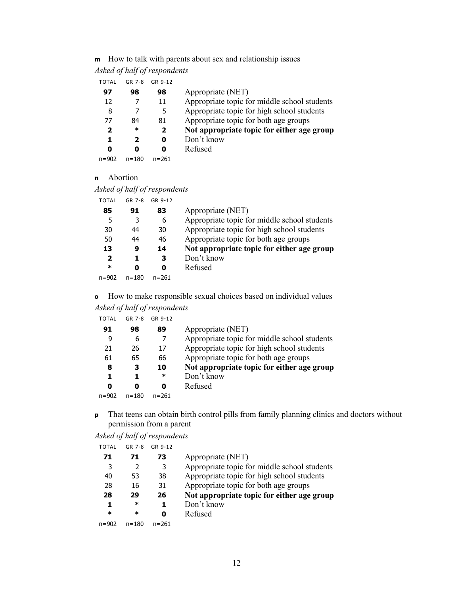# **m** How to talk with parents about sex and relationship issues

#### *Asked of half of respondents*

TOTAL GR 7-8 GR 9-12

| 97        | 98        | 98           | Appropriate (NET)                            |
|-----------|-----------|--------------|----------------------------------------------|
| 12        |           | 11           | Appropriate topic for middle school students |
| 8         |           | 5            | Appropriate topic for high school students   |
| 77        | 84        | 81           | Appropriate topic for both age groups        |
| 2         | $\ast$    | $\mathbf{2}$ | Not appropriate topic for either age group   |
| 1         | 2         | 0            | Don't know                                   |
| Ω         |           | 0            | Refused                                      |
| $n = 902$ | $n = 180$ | $n = 261$    |                                              |

#### **n** Abortion

*Asked of half of respondents* 

| TOTAL     | GR 7-8    | GR 9-12   |                                              |
|-----------|-----------|-----------|----------------------------------------------|
| 85        | 91        | 83        | Appropriate (NET)                            |
| 5         | 3         | 6         | Appropriate topic for middle school students |
| 30        | 44        | 30        | Appropriate topic for high school students   |
| 50        | 44        | 46        | Appropriate topic for both age groups        |
| 13        | 9         | 14        | Not appropriate topic for either age group   |
| 2         | 1         | 3         | Don't know                                   |
| *         | 0         | 0         | Refused                                      |
| $n = 902$ | $n = 180$ | $n = 261$ |                                              |

**o** How to make responsible sexual choices based on individual values

|  | Asked of half of respondents |
|--|------------------------------|

| TOTAL | GR 7-8    | GR 9-12   |                                              |
|-------|-----------|-----------|----------------------------------------------|
| 91    | 98        | 89        | Appropriate (NET)                            |
| 9     | 6         | 7         | Appropriate topic for middle school students |
| 21    | 26        | 17        | Appropriate topic for high school students   |
| 61    | 65        | 66        | Appropriate topic for both age groups        |
| 8     | з         | 10        | Not appropriate topic for either age group   |
| 1.    |           | *         | Don't know                                   |
| 0     |           | O         | Refused                                      |
| n=902 | $n = 180$ | $n = 261$ |                                              |
|       |           |           |                                              |

**p** That teens can obtain birth control pills from family planning clinics and doctors without permission from a parent

*Asked of half of respondents* 

| TOTAL     | GR 7-8    | GR 9-12   |                                              |
|-----------|-----------|-----------|----------------------------------------------|
| 71        | 71        | 73        | Appropriate (NET)                            |
| 3         | 2         | 3         | Appropriate topic for middle school students |
| 40        | 53        | 38        | Appropriate topic for high school students   |
| 28        | 16        | 31        | Appropriate topic for both age groups        |
| 28        | 29        | 26        | Not appropriate topic for either age group   |
| 1         | ∗         | 1         | Don't know                                   |
| $\ast$    | ж         | 0         | Refused                                      |
| $n = 902$ | $n = 180$ | $n = 261$ |                                              |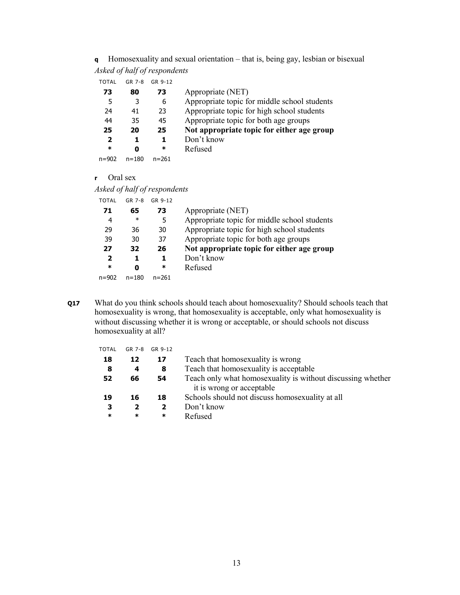**q** Homosexuality and sexual orientation – that is, being gay, lesbian or bisexual *Asked of half of respondents* 

TOTAL GR 7-8 GR 9-12

| 73           | 80        | 73        | Appropriate (NET)                            |
|--------------|-----------|-----------|----------------------------------------------|
| 5            | 3         | 6         | Appropriate topic for middle school students |
| 24           | 41        | 23        | Appropriate topic for high school students   |
| 44           | 35        | 45        | Appropriate topic for both age groups        |
| 25           | 20        | 25        | Not appropriate topic for either age group   |
| $\mathbf{2}$ | 1         | 1         | Don't know                                   |
| *            | Ω         | ∗         | Refused                                      |
| $n = 902$    | $n = 180$ | $n = 261$ |                                              |

**r** Oral sex

|  |  | Asked of half of respondents |
|--|--|------------------------------|
|  |  |                              |

| TOTAL                   | GR 7-8    | GR 9-12   |                                              |
|-------------------------|-----------|-----------|----------------------------------------------|
| 71                      | 65        | 73        | Appropriate (NET)                            |
| 4                       | $\ast$    | 5         | Appropriate topic for middle school students |
| 29                      | 36        | 30        | Appropriate topic for high school students   |
| 39                      | 30        | 37        | Appropriate topic for both age groups        |
| 27                      | 32        | 26        | Not appropriate topic for either age group   |
| $\overline{\mathbf{2}}$ |           | 1         | Don't know                                   |
| $\ast$                  |           | *         | Refused                                      |
| n=902                   | $n = 180$ | $n = 261$ |                                              |
|                         |           |           |                                              |

**Q17** What do you think schools should teach about homosexuality? Should schools teach that homosexuality is wrong, that homosexuality is acceptable, only what homosexuality is without discussing whether it is wrong or acceptable, or should schools not discuss homosexuality at all?

| TOTAL | GR 7-8 | GR 9-12 |                                                             |
|-------|--------|---------|-------------------------------------------------------------|
| 18    | 12     | 17      | Teach that homosexuality is wrong                           |
| 8     | 4      | 8       | Teach that homosexuality is acceptable                      |
| 52    | 66     | 54      | Teach only what homosexuality is without discussing whether |
|       |        |         | it is wrong or acceptable                                   |
| 19    | 16     | 18      | Schools should not discuss homosexuality at all             |
| з     | 2      | 2       | Don't know                                                  |
| *     | ∗      | $\ast$  | Refused                                                     |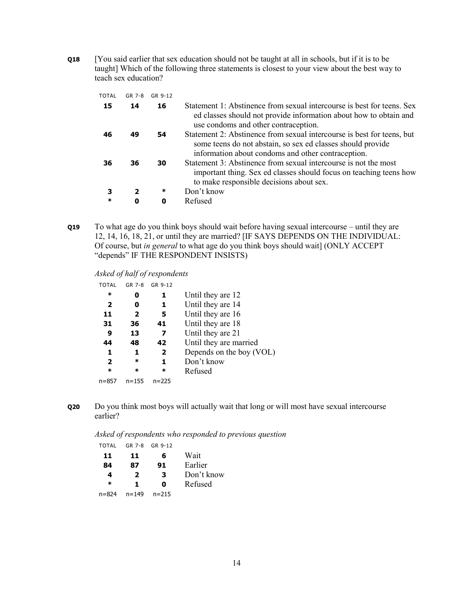**Q18** [You said earlier that sex education should not be taught at all in schools, but if it is to be taught] Which of the following three statements is closest to your view about the best way to teach sex education?

| TOTAL  | $GR$ 7-8 | GR 9-12 |                                                                                                                                                                                             |
|--------|----------|---------|---------------------------------------------------------------------------------------------------------------------------------------------------------------------------------------------|
| 15     | 14       | 16      | Statement 1: Abstinence from sexual intercourse is best for teens. Sex<br>ed classes should not provide information about how to obtain and<br>use condoms and other contraception.         |
| 46     | 49       | 54      | Statement 2: Abstinence from sexual intercourse is best for teens, but<br>some teens do not abstain, so sex ed classes should provide<br>information about condoms and other contraception. |
| 36     | 36       | 30      | Statement 3: Abstinence from sexual intercourse is not the most<br>important thing. Sex ed classes should focus on teaching teens how<br>to make responsible decisions about sex.           |
| З      | 2        | ∗       | Don't know                                                                                                                                                                                  |
| $\ast$ | 0        | 0       | Refused                                                                                                                                                                                     |

**Q19** To what age do you think boys should wait before having sexual intercourse – until they are 12, 14, 16, 18, 21, or until they are married? [IF SAYS DEPENDS ON THE INDIVIDUAL: Of course, but *in general* to what age do you think boys should wait] (ONLY ACCEPT "depends" IF THE RESPONDENT INSISTS)

#### *Asked of half of respondents*

| TOTAL                   | GR 7-8                  | GR 9-12      |                          |
|-------------------------|-------------------------|--------------|--------------------------|
| *                       | 0                       | 1            | Until they are 12        |
| $\overline{2}$          | 0                       | 1            | Until they are 14        |
| 11                      | $\overline{\mathbf{2}}$ | 5            | Until they are 16        |
| 31                      | 36                      | 41           | Until they are 18        |
| 9                       | 13                      | 7            | Until they are 21        |
| 44                      | 48                      | 42           | Until they are married   |
| 1                       | 1                       | $\mathbf{2}$ | Depends on the boy (VOL) |
| $\overline{\mathbf{2}}$ | *                       | 1            | Don't know               |
| *                       | *                       | *            | Refused                  |
| n=857                   | $n = 155$               | $n = 225$    |                          |
|                         |                         |              |                          |

**Q20** Do you think most boys will actually wait that long or will most have sexual intercourse earlier?

*Asked of respondents who responded to previous question* 

| <b>TOTAL</b> | GR 7-8 | GR 9-12 |
|--------------|--------|---------|
|              |        |         |

| 11     | 11        | 6         | Wait       |
|--------|-----------|-----------|------------|
| 84     | 87        | 91        | Earlier    |
| 4      | 2         | 3         | Don't know |
| $\ast$ | 1.        | O         | Refused    |
| n=824  | $n = 149$ | $n = 215$ |            |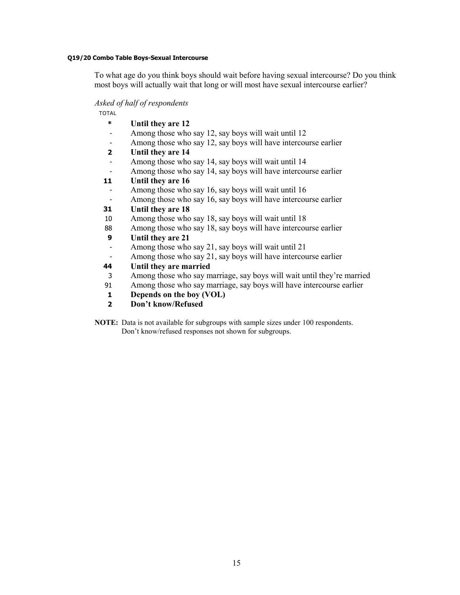#### **Q19/20 Combo Table Boys-Sexual Intercourse**

To what age do you think boys should wait before having sexual intercourse? Do you think most boys will actually wait that long or will most have sexual intercourse earlier?

#### *Asked of half of respondents*

TOTAL

- **\* Until they are 12**
- Among those who say 12, say boys will wait until 12
- Among those who say 12, say boys will have intercourse earlier
- **2 Until they are 14**
- Among those who say 14, say boys will wait until 14
- Among those who say 14, say boys will have intercourse earlier

# **11 Until they are 16**

- Among those who say 16, say boys will wait until 16
- Among those who say 16, say boys will have intercourse earlier

# **31 Until they are 18**

- 10 Among those who say 18, say boys will wait until 18
- 88 Among those who say 18, say boys will have intercourse earlier

# **9 Until they are 21**

- Among those who say 21, say boys will wait until 21
- Among those who say 21, say boys will have intercourse earlier

# **44 Until they are married**

- 3 Among those who say marriage, say boys will wait until they're married
- 91 Among those who say marriage, say boys will have intercourse earlier
- **1 Depends on the boy (VOL)**
- **2 Don't know/Refused**

**NOTE:** Data is not available for subgroups with sample sizes under 100 respondents. Don't know/refused responses not shown for subgroups.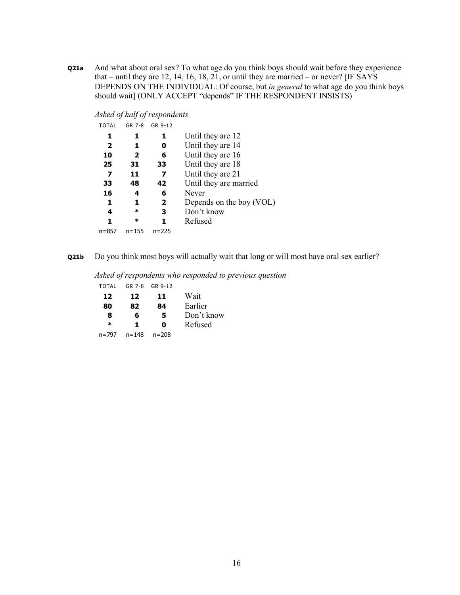**Q21a** And what about oral sex? To what age do you think boys should wait before they experience that – until they are 12, 14, 16, 18, 21, or until they are married – or never? [IF SAYS DEPENDS ON THE INDIVIDUAL: Of course, but *in general* to what age do you think boys should wait] (ONLY ACCEPT "depends" IF THE RESPONDENT INSISTS)

*Asked of half of respondents* 

| GR 7-8    | GR 9-12        |                          |
|-----------|----------------|--------------------------|
|           | 1              | Until they are 12        |
| 1         | o              | Until they are 14        |
| 2         | 6              | Until they are 16        |
| 31        | 33             | Until they are 18        |
| 11        | 7              | Until they are 21        |
| 48        | 42             | Until they are married   |
| 4         | 6              | Never                    |
| 1         | $\overline{2}$ | Depends on the boy (VOL) |
| *         | 3              | Don't know               |
| *         |                | Refused                  |
| $n = 155$ | $n = 225$      |                          |
|           |                |                          |

**Q21b** Do you think most boys will actually wait that long or will most have oral sex earlier?

*Asked of respondents who responded to previous question* 

| <b>TOTAL</b> | GR 7-8 | GR 9-12   |            |
|--------------|--------|-----------|------------|
| 12           | 12     | 11        | Wait       |
| 80           | 82     | 84        | Earlier    |
| 8            | 6      | 5         | Don't know |
| $\ast$       | 1.     | Ω         | Refused    |
| n=797        | n=148  | $n = 208$ |            |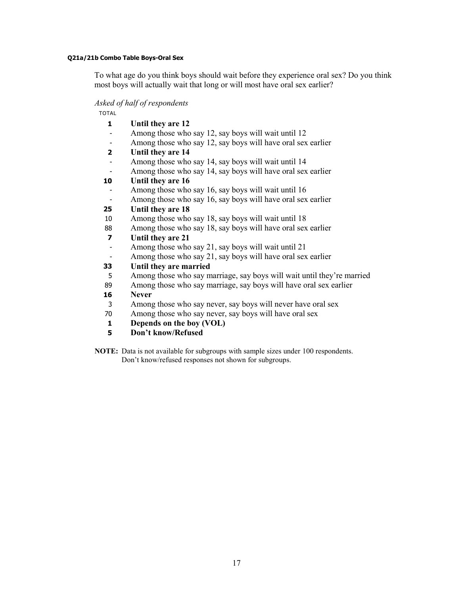#### **Q21a/21b Combo Table Boys-Oral Sex**

To what age do you think boys should wait before they experience oral sex? Do you think most boys will actually wait that long or will most have oral sex earlier?

#### *Asked of half of respondents*

TOTAL

- **1 Until they are 12**
- Among those who say 12, say boys will wait until 12
- Among those who say 12, say boys will have oral sex earlier
- **2 Until they are 14**
- Among those who say 14, say boys will wait until 14
- Among those who say 14, say boys will have oral sex earlier

# **10 Until they are 16**

- Among those who say 16, say boys will wait until 16
- Among those who say 16, say boys will have oral sex earlier

# **25 Until they are 18**

- 10 Among those who say 18, say boys will wait until 18
- 88 Among those who say 18, say boys will have oral sex earlier

# **7 Until they are 21**

- Among those who say 21, say boys will wait until 21
- Among those who say 21, say boys will have oral sex earlier

# **33 Until they are married**

- 5 Among those who say marriage, say boys will wait until they're married
- 89 Among those who say marriage, say boys will have oral sex earlier

#### **16 Never**

- 3 Among those who say never, say boys will never have oral sex
- 70 Among those who say never, say boys will have oral sex
- **1 Depends on the boy (VOL)**
- **5 Don't know/Refused**
- **NOTE:** Data is not available for subgroups with sample sizes under 100 respondents. Don't know/refused responses not shown for subgroups.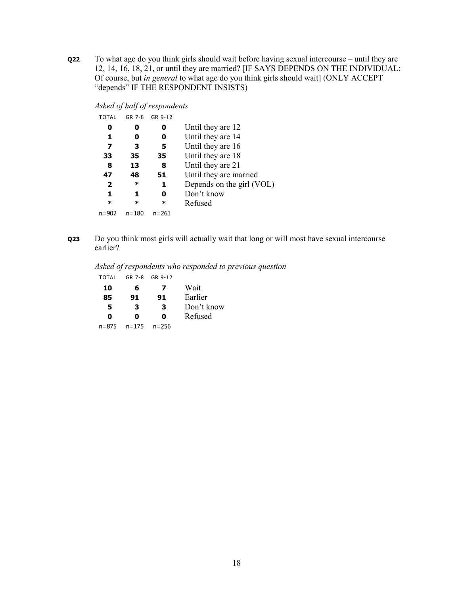**Q22** To what age do you think girls should wait before having sexual intercourse – until they are 12, 14, 16, 18, 21, or until they are married? [IF SAYS DEPENDS ON THE INDIVIDUAL: Of course, but *in general* to what age do you think girls should wait] (ONLY ACCEPT "depends" IF THE RESPONDENT INSISTS)

*Asked of half of respondents* 

| TOTAL          | GR 7-8    | GR 9-12   |                           |
|----------------|-----------|-----------|---------------------------|
| 0              | O         | O         | Until they are 12         |
| 1              | 0         | o         | Until they are 14         |
| 7              | 3         | 5         | Until they are 16         |
| 33             | 35        | 35        | Until they are 18         |
| 8              | 13        | 8         | Until they are 21         |
| 47             | 48        | 51        | Until they are married    |
| $\overline{2}$ | *         | 1         | Depends on the girl (VOL) |
| 1              | 1         | o         | Don't know                |
| *              | *         | *         | Refused                   |
| n=902          | $n = 180$ | $n = 261$ |                           |
|                |           |           |                           |

**Q23** Do you think most girls will actually wait that long or will most have sexual intercourse earlier?

*Asked of respondents who responded to previous question* 

| TOTAL     | GR 7-8    | GR 9-12   |            |
|-----------|-----------|-----------|------------|
| 10        | 6         | 7         | Wait       |
| 85        | 91        | 91        | Earlier    |
| 5         | 3         | з         | Don't know |
| O         | n         | Ω         | Refused    |
| $n = 875$ | $n = 175$ | $n = 256$ |            |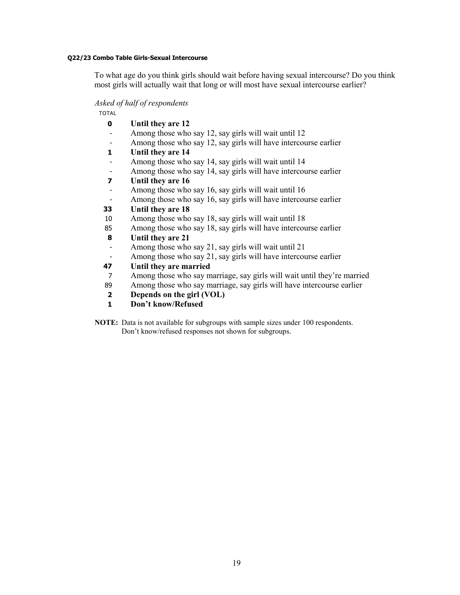#### **Q22/23 Combo Table Girls-Sexual Intercourse**

To what age do you think girls should wait before having sexual intercourse? Do you think most girls will actually wait that long or will most have sexual intercourse earlier?

#### *Asked of half of respondents*

TOTAL

- **0 Until they are 12**
- Among those who say 12, say girls will wait until 12
- Among those who say 12, say girls will have intercourse earlier
- **1 Until they are 14**
- Among those who say 14, say girls will wait until 14
- Among those who say 14, say girls will have intercourse earlier
- **7 Until they are 16**
- Among those who say 16, say girls will wait until 16
- Among those who say 16, say girls will have intercourse earlier

#### **33 Until they are 18**

- 10 Among those who say 18, say girls will wait until 18
- 85 Among those who say 18, say girls will have intercourse earlier

# **8 Until they are 21**

- Among those who say 21, say girls will wait until 21
- Among those who say 21, say girls will have intercourse earlier

# **47 Until they are married**

- 7 Among those who say marriage, say girls will wait until they're married
- 89 Among those who say marriage, say girls will have intercourse earlier
- **2 Depends on the girl (VOL)**
- **1 Don't know/Refused**

**NOTE:** Data is not available for subgroups with sample sizes under 100 respondents. Don't know/refused responses not shown for subgroups.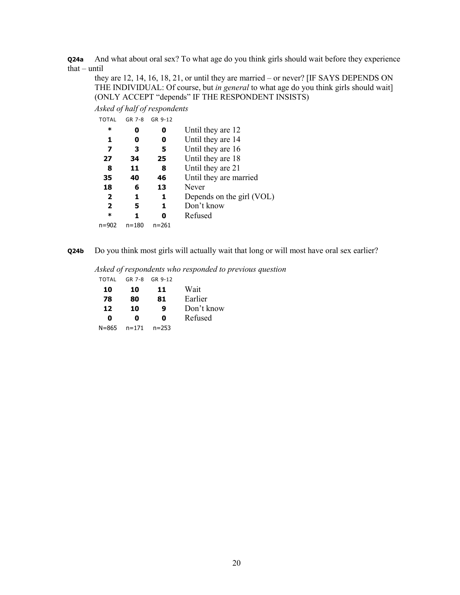**Q24a** And what about oral sex? To what age do you think girls should wait before they experience that – until

they are 12, 14, 16, 18, 21, or until they are married – or never? [IF SAYS DEPENDS ON THE INDIVIDUAL: Of course, but *in general* to what age do you think girls should wait] (ONLY ACCEPT "depends" IF THE RESPONDENT INSISTS)

*Asked of half of respondents* 

| TOTAL                   | GR 7-8    | GR 9-12 |                           |
|-------------------------|-----------|---------|---------------------------|
| *                       | 0         | o       | Until they are 12         |
| 1                       | 0         | o       | Until they are 14         |
| 7                       | з         | 5       | Until they are 16         |
| 27                      | 34        | 25      | Until they are 18         |
| 8                       | 11        | 8       | Until they are 21         |
| 35                      | 40        | 46      | Until they are married    |
| 18                      | 6         | 13      | Never                     |
| $\overline{2}$          | 1         | 1       | Depends on the girl (VOL) |
| $\overline{\mathbf{2}}$ | 5         | 1       | Don't know                |
| *                       |           |         | Refused                   |
| n=902                   | $n = 180$ | n=261   |                           |

**Q24b** Do you think most girls will actually wait that long or will most have oral sex earlier?

*Asked of respondents who responded to previous question* 

| TOTAL     | $GR$ 7-8  | GR 9-12   |            |
|-----------|-----------|-----------|------------|
| 10        | 10        | 11        | Wait       |
| 78        | 80        | 81        | Earlier    |
| 12        | 10        | 9         | Don't know |
| Ω         | 0         | O         | Refused    |
| $N = 865$ | $n = 171$ | $n = 253$ |            |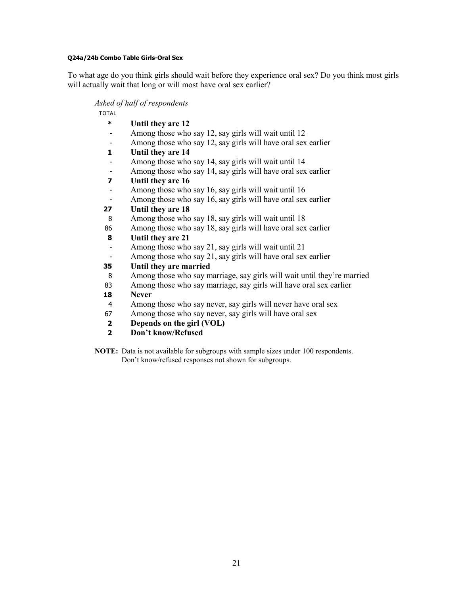#### **Q24a/24b Combo Table Girls-Oral Sex**

To what age do you think girls should wait before they experience oral sex? Do you think most girls will actually wait that long or will most have oral sex earlier?

#### *Asked of half of respondents*

TOTAL

- **\* Until they are 12**
- Among those who say 12, say girls will wait until 12
- Among those who say 12, say girls will have oral sex earlier
- **1 Until they are 14**
- Among those who say 14, say girls will wait until 14
- Among those who say 14, say girls will have oral sex earlier
- **7 Until they are 16**
- Among those who say 16, say girls will wait until 16
- Among those who say 16, say girls will have oral sex earlier

# **27 Until they are 18**

- 8 Among those who say 18, say girls will wait until 18
- 86 Among those who say 18, say girls will have oral sex earlier

# **8 Until they are 21**

- Among those who say 21, say girls will wait until 21
- Among those who say 21, say girls will have oral sex earlier

# **35 Until they are married**

- 8 Among those who say marriage, say girls will wait until they're married
- 83 Among those who say marriage, say girls will have oral sex earlier

#### **18 Never**

- 4 Among those who say never, say girls will never have oral sex
- 67 Among those who say never, say girls will have oral sex
- **2 Depends on the girl (VOL)**
- **2 Don't know/Refused**
- **NOTE:** Data is not available for subgroups with sample sizes under 100 respondents. Don't know/refused responses not shown for subgroups.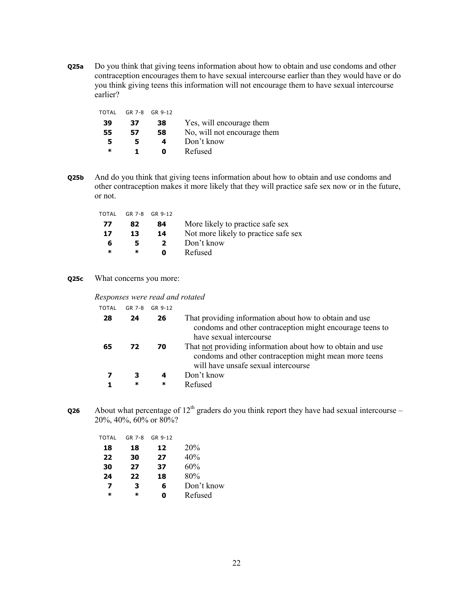**Q25a** Do you think that giving teens information about how to obtain and use condoms and other contraception encourages them to have sexual intercourse earlier than they would have or do you think giving teens this information will not encourage them to have sexual intercourse earlier?

| GR 7-8 |    |                             |
|--------|----|-----------------------------|
| 37     | 38 | Yes, will encourage them    |
| 57     | 58 | No, will not encourage them |
| 5      | 4  | Don't know                  |
|        | Ω  | Refused                     |
|        |    | GR 9-12                     |

**Q25b** And do you think that giving teens information about how to obtain and use condoms and other contraception makes it more likely that they will practice safe sex now or in the future, or not.

| TOTAL |    | GR 7-8 GR 9-12 |                                      |
|-------|----|----------------|--------------------------------------|
| 77    | 82 | 84             | More likely to practice safe sex     |
| 17    | 13 | 14             | Not more likely to practice safe sex |
| 6     |    | $\mathbf{z}$   | Don't know                           |
| ж     | ∗  | n              | Refused                              |

#### **Q25c** What concerns you more:

#### *Responses were read and rotated*

| TOTAL | GR 7-8 | GR 9-12 |                                                                                                                                                            |
|-------|--------|---------|------------------------------------------------------------------------------------------------------------------------------------------------------------|
| 28    | 24     | 26      | That providing information about how to obtain and use<br>condoms and other contraception might encourage teens to<br>have sexual intercourse              |
| 65    | 72     | 70      | That not providing information about how to obtain and use<br>condoms and other contraception might mean more teens<br>will have unsafe sexual intercourse |
|       | 3      | 4       | Don't know                                                                                                                                                 |
|       | ∗      | $\ast$  | Refused                                                                                                                                                    |

**Q26** About what percentage of  $12<sup>th</sup>$  graders do you think report they have had sexual intercourse – 20%, 40%, 60% or 80%?

| TOTAL  | $GR$ 7-8 | GR 9-12 |            |
|--------|----------|---------|------------|
| 18     | 18       | 12      | 20%        |
| 22     | 30       | 27      | 40%        |
| 30     | 27       | 37      | 60%        |
| 24     | 22       | 18      | 80%        |
| 7      | 3        | 6       | Don't know |
| $\ast$ | *        | Ω       | Refused    |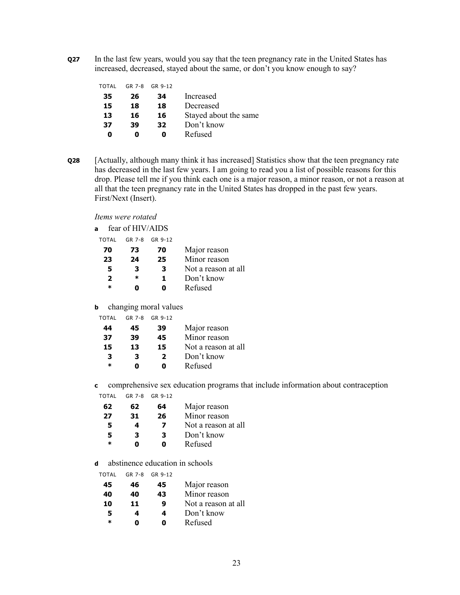**Q27** In the last few years, would you say that the teen pregnancy rate in the United States has increased, decreased, stayed about the same, or don't you know enough to say?

| TOTAL | $GR$ 7-8 | GR 9-12 |                       |
|-------|----------|---------|-----------------------|
| 35    | 26       | 34      | Increased             |
| 15    | 18       | 18      | Decreased             |
| 13    | 16       | 16      | Stayed about the same |
| 37    | 39       | 32      | Don't know            |
| Ω     |          | o       | Refused               |
|       |          |         |                       |

**Q28** [Actually, although many think it has increased] Statistics show that the teen pregnancy rate has decreased in the last few years. I am going to read you a list of possible reasons for this drop. Please tell me if you think each one is a major reason, a minor reason, or not a reason at all that the teen pregnancy rate in the United States has dropped in the past few years. First/Next (Insert).

*Items were rotated* 

| a | fear of HIV/AIDS |  |
|---|------------------|--|
|   |                  |  |

| TOTAI  | GR 7-8 | GR 9-12 |                     |
|--------|--------|---------|---------------------|
| 70     | 73     | 70      | Major reason        |
| 23     | 24     | 25      | Minor reason        |
| 5      | 3      | 3       | Not a reason at all |
| 2      | ж      | 1       | Don't know          |
| $\ast$ |        | n       | Refused             |

**b** changing moral values

| GR 7-8 | GR 9-12        |                     |
|--------|----------------|---------------------|
| 45     | 39             | Major reason        |
| 39     | 45             | Minor reason        |
| 13     | 15             | Not a reason at all |
| 3      | $\overline{2}$ | Don't know          |
| Ω      | n              | Refused             |
|        |                |                     |

**c** comprehensive sex education programs that include information about contraception

|  | TOTAL | GR 7-8 | GR 9-12 |
|--|-------|--------|---------|
|--|-------|--------|---------|

| 62 | 62 | 64 | Major reason        |
|----|----|----|---------------------|
| 27 | 31 | 26 | Minor reason        |
| 5  | 4  | 7  | Not a reason at all |
| 5. | 3  | 3  | Don't know          |
| ж  | n  | n  | Refused             |

**d** abstinence education in schools

| TOTAL  | GR 7-8 | GR 9-12 |                     |
|--------|--------|---------|---------------------|
| 45     | 46     | 45      | Major reason        |
| 40     | 40     | 43      | Minor reason        |
| 10     | 11     | 9       | Not a reason at all |
| 5      | 4      | 4       | Don't know          |
| $\ast$ | Ω      | 0       | Refused             |
|        |        |         |                     |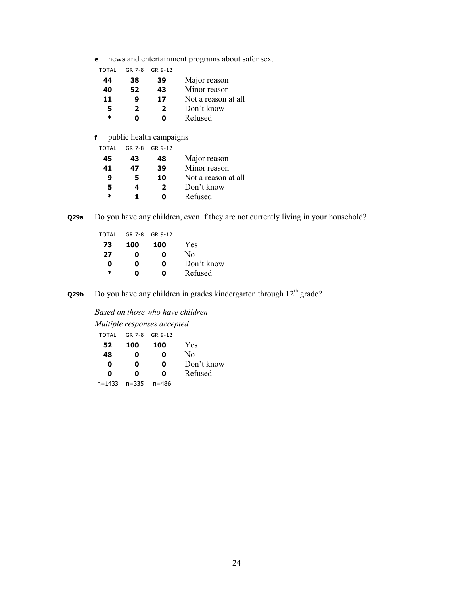**e** news and entertainment programs about safer sex.

| TOTAL | GR 7-8 | GR 9-12 |                     |
|-------|--------|---------|---------------------|
| 44    | 38     | 39      | Major reason        |
| 40    | 52     | 43      | Minor reason        |
| 11    | 9      | 17      | Not a reason at all |
| 5     | 2      | 2       | Don't know          |
| ж     | n      | ŋ       | Refused             |
|       |        |         |                     |

# **f** public health campaigns

| TOTAL  | GR 7-8 | GR 9-12 |                     |
|--------|--------|---------|---------------------|
| 45     | 43     | 48      | Major reason        |
| 41     | 47     | 39      | Minor reason        |
| 9      | 5      | 10      | Not a reason at all |
| 5      | 4      | 2       | Don't know          |
| $\ast$ |        | Ω       | Refused             |

**Q29a** Do you have any children, even if they are not currently living in your household?

| TOTAL  |     | GR 7-8 GR 9-12 |                |
|--------|-----|----------------|----------------|
| 73     | 100 | 100            | Yes            |
| 27     | 0   | 0              | N <sub>0</sub> |
| 0      | Ω   | 0              | Don't know     |
| $\ast$ | n   | Λ              | Refused        |

**Q29b** Do you have any children in grades kindergarten through 12<sup>th</sup> grade?

*Based on those who have children* 

*Multiple responses accepted* 

| <b>TOTAL</b> |     | GR 7-8 GR 9-12 |            |
|--------------|-----|----------------|------------|
| 52           | 100 | 100            | Yes        |
| 48           | 0   | 0              | No.        |
| 0            | 0   | 0              | Don't know |
| n            | n   | n              | Refused    |

| $n = 1433$ | $n = 335$ | n=486 |
|------------|-----------|-------|
|            |           |       |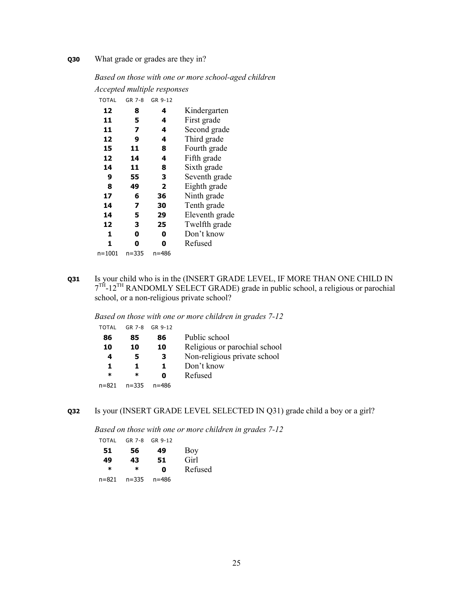# **Q30** What grade or grades are they in?

# *Based on those with one or more school-aged children*

*Accepted multiple responses* 

| <b>TOTAL</b> | GR 7-8 | GR 9-12 |                |
|--------------|--------|---------|----------------|
| 12           | 8      | 4       | Kindergarten   |
| 11           | 5      | 4       | First grade    |
| 11           | 7      | 4       | Second grade   |
| 12           | 9      | 4       | Third grade    |
| 15           | 11     | 8       | Fourth grade   |
| 12           | 14     | 4       | Fifth grade    |
| 14           | 11     | 8       | Sixth grade    |
| 9            | 55     | З       | Seventh grade  |
| 8            | 49     | 2       | Eighth grade   |
| 17           | 6      | 36      | Ninth grade    |
| 14           | 7      | 30      | Tenth grade    |
| 14           | 5      | 29      | Eleventh grade |
| 12           | з      | 25      | Twelfth grade  |
| 1            | 0      | 0       | Don't know     |
| 1            | 0      | Ω       | Refused        |
| n=1001       | n=335  | n=486   |                |

**Q31** Is your child who is in the (INSERT GRADE LEVEL, IF MORE THAN ONE CHILD IN  $7<sup>TH</sup>$ -12<sup>TH</sup> RANDOMLY SELECT GRADE) grade in public school, a religious or parochial school, or a non-religious private school?

*Based on those with one or more children in grades 7-12* 

| TOTAL     | GR 7-8    | GR 9-12 |                               |
|-----------|-----------|---------|-------------------------------|
| 86        | 85        | 86      | Public school                 |
| 10        | 10        | 10      | Religious or parochial school |
| 4         | 5         | 3       | Non-religious private school  |
| 1.        | Т.        | 1.      | Don't know                    |
| *         | ж         | Ω       | Refused                       |
| $n = 821$ | $n = 335$ | n=486   |                               |

**Q32** Is your (INSERT GRADE LEVEL SELECTED IN Q31) grade child a boy or a girl?

*Based on those with one or more children in grades 7-12* 

| TOTAL |           | GR 7-8 GR 9-12 |         |
|-------|-----------|----------------|---------|
| 51    | 56        | 49             | Boy     |
| 49    | 43        | 51             | Girl    |
| ж     | ж         | Ω              | Refused |
| n=821 | $n = 335$ | n=486          |         |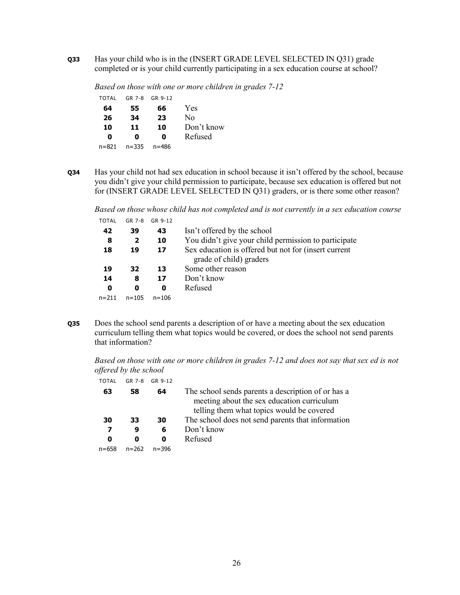**Q33** Has your child who is in the (INSERT GRADE LEVEL SELECTED IN Q31) grade completed or is your child currently participating in a sex education course at school?

*Based on those with one or more children in grades 7-12*  TOTAL GR 7-8 GR 9-12

| IUIAL | $1.1K$ / $-0.1K$ | 11K 9-17 |                |
|-------|------------------|----------|----------------|
| 64    | 55               | 66       | Yes            |
| 26    | 34               | 23       | N <sub>0</sub> |
| 10    | 11               | 10       | Don't know     |
| Ω     | Ω                | Ω        | Refused        |
| n=821 | $n = 335$        | n=486    |                |
|       |                  |          |                |

**Q34** Has your child not had sex education in school because it isn't offered by the school, because you didn't give your child permission to participate, because sex education is offered but not for (INSERT GRADE LEVEL SELECTED IN Q31) graders, or is there some other reason?

*Based on those whose child has not completed and is not currently in a sex education course*  TOTAL GR 7-8 GR 9-12

| 42        | 39           | 43        | Isn't offered by the school                          |
|-----------|--------------|-----------|------------------------------------------------------|
| 8         | $\mathbf{2}$ | 10        | You didn't give your child permission to participate |
| 18        | 19           | 17        | Sex education is offered but not for (insert current |
|           |              |           | grade of child) graders                              |
| 19        | 32           | 13        | Some other reason                                    |
| 14        | 8            | 17        | Don't know                                           |
| 0         | 0            | 0         | Refused                                              |
| $n = 211$ | $n = 105$    | $n = 106$ |                                                      |
|           |              |           |                                                      |

**Q35** Does the school send parents a description of or have a meeting about the sex education curriculum telling them what topics would be covered, or does the school not send parents that information?

*Based on those with one or more children in grades 7-12 and does not say that sex ed is not offered by the school* 

| <b>TOTAL</b> | GR 7-8    | GR 9-12   |                                                                                                                                               |
|--------------|-----------|-----------|-----------------------------------------------------------------------------------------------------------------------------------------------|
| 63           | 58        | 64        | The school sends parents a description of or has a<br>meeting about the sex education curriculum<br>telling them what topics would be covered |
| 30           | 33        | 30        | The school does not send parents that information                                                                                             |
| 7            | 9         | 6         | Don't know                                                                                                                                    |
| 0            | 0         | O         | Refused                                                                                                                                       |
| $n = 658$    | $n = 262$ | $n = 396$ |                                                                                                                                               |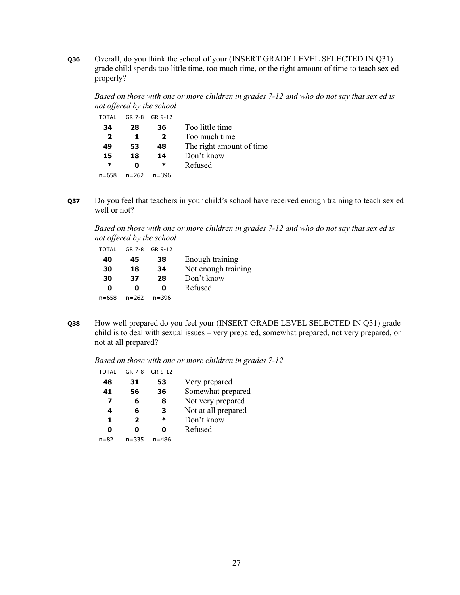**Q36** Overall, do you think the school of your (INSERT GRADE LEVEL SELECTED IN Q31) grade child spends too little time, too much time, or the right amount of time to teach sex ed properly?

*Based on those with one or more children in grades 7-12 and who do not say that sex ed is not offered by the school* 

| <b>TOTAL</b> |       | GR 7-8 GR 9-12 |                          |
|--------------|-------|----------------|--------------------------|
| 34           | 28    | 36             | Too little time          |
| 2            | п.    | $\mathbf{2}$   | Too much time            |
| 49           | 53    | 48             | The right amount of time |
| 15           | 18    | 14             | Don't know               |
| ∗            | Ω     | *              | Refused                  |
| $n = 658$    | n=262 | $n = 396$      |                          |

**Q37** Do you feel that teachers in your child's school have received enough training to teach sex ed well or not?

*Based on those with one or more children in grades 7-12 and who do not say that sex ed is not offered by the school* 

| TOTAL | GR 7-8 | GR 9-12   |                     |
|-------|--------|-----------|---------------------|
| 40    | 45     | 38        | Enough training     |
| 30    | 18     | 34        | Not enough training |
| 30    | 37     | 28        | Don't know          |
| 0     | Ω      | n         | Refused             |
| n=658 | n=262  | $n = 396$ |                     |

**Q38** How well prepared do you feel your (INSERT GRADE LEVEL SELECTED IN Q31) grade child is to deal with sexual issues – very prepared, somewhat prepared, not very prepared, or not at all prepared?

*Based on those with one or more children in grades 7-12* 

| TOTAL | GR 7-8       | GR 9-12 |                     |
|-------|--------------|---------|---------------------|
| 48    | 31           | 53      | Very prepared       |
| 41    | 56           | 36      | Somewhat prepared   |
| 7     | 6            | 8       | Not very prepared   |
| 4     | 6            | з       | Not at all prepared |
| 1     | $\mathbf{2}$ | ∗       | Don't know          |
| Ω     | Ω            |         | Refused             |
| n=821 | $n = 335$    | n=486   |                     |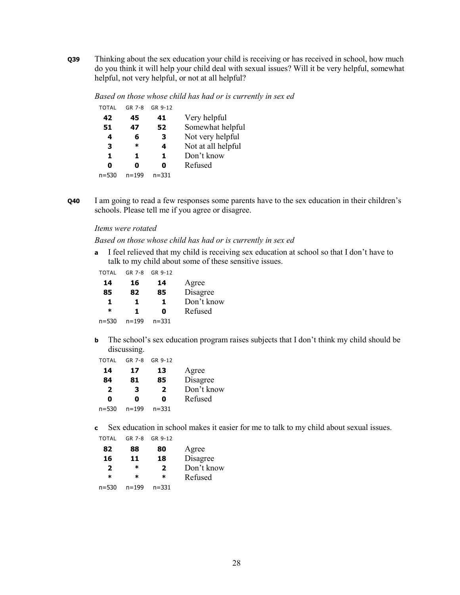**Q39** Thinking about the sex education your child is receiving or has received in school, how much do you think it will help your child deal with sexual issues? Will it be very helpful, somewhat helpful, not very helpful, or not at all helpful?

*Based on those whose child has had or is currently in sex ed* 

| TOTAL | GR 7-8    | GR 9-12   |                    |
|-------|-----------|-----------|--------------------|
| 42    | 45        | 41        | Very helpful       |
| 51    | 47        | 52        | Somewhat helpful   |
| 4     | 6         | 3         | Not very helpful   |
| 3     | *         | 4         | Not at all helpful |
| 1     | 1         | 1         | Don't know         |
| Ω     | Ω         | Ω         | Refused            |
| n=530 | $n = 199$ | $n = 331$ |                    |

**Q40** I am going to read a few responses some parents have to the sex education in their children's schools. Please tell me if you agree or disagree.

#### *Items were rotated*

*Based on those whose child has had or is currently in sex ed* 

**a** I feel relieved that my child is receiving sex education at school so that I don't have to talk to my child about some of these sensitive issues.

| TOTAL | GR 7-8 | GR 9-12 |
|-------|--------|---------|
|       |        |         |

| 14        | 16        | 14        | Agree      |
|-----------|-----------|-----------|------------|
| 85        | 82        | 85        | Disagree   |
| 1         | L         | 1         | Don't know |
| ж         | 1.        | Ω         | Refused    |
| $n = 530$ | $n = 199$ | $n = 331$ |            |

**b** The school's sex education program raises subjects that I don't think my child should be discussing.

| <b>TOTAL</b>   | GR 7-8    | GR 9-12   |            |
|----------------|-----------|-----------|------------|
| 14             | 17        | 13        | Agree      |
| 84             | 81        | 85        | Disagree   |
| $\overline{2}$ | 3         | 2         | Don't know |
| Ω              | Ω         | Ω         | Refused    |
| $n = 530$      | $n = 199$ | $n = 331$ |            |

**c** Sex education in school makes it easier for me to talk to my child about sexual issues.

| <b>TOTAL</b>   | $GR$ 7-8  | GR 9-12                 |            |
|----------------|-----------|-------------------------|------------|
| 82             | 88        | 80                      | Agree      |
| 16             | 11        | 18                      | Disagree   |
| $\overline{2}$ | ж         | $\overline{\mathbf{2}}$ | Don't know |
| $\ast$         | ж         | ж                       | Refused    |
| $n = 530$      | $n = 199$ | $n = 331$               |            |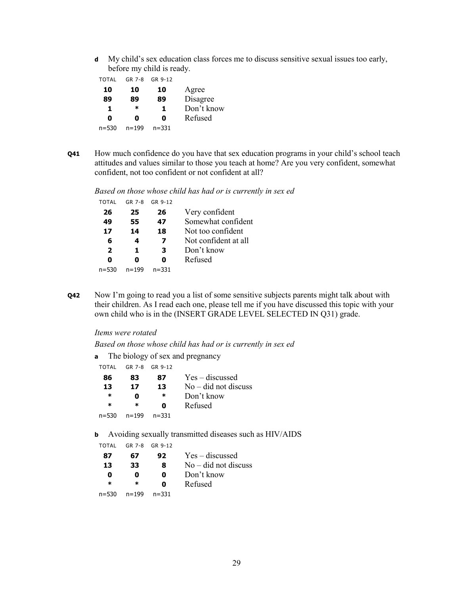**d** My child's sex education class forces me to discuss sensitive sexual issues too early, before my child is ready.

| TOTAL     | GR 7-8    | GR 9-12   |            |
|-----------|-----------|-----------|------------|
| 10        | 10        | 10        | Agree      |
| 89        | 89        | 89        | Disagree   |
| 1         | ж         | 1         | Don't know |
| 0         | 0         | 0         | Refused    |
| $n = 530$ | $n = 199$ | $n = 331$ |            |

**Q41** How much confidence do you have that sex education programs in your child's school teach attitudes and values similar to those you teach at home? Are you very confident, somewhat confident, not too confident or not confident at all?

*Based on those whose child has had or is currently in sex ed* 

| TOTAL          | $GR$ 7-8  | GR 9-12   |                      |
|----------------|-----------|-----------|----------------------|
| 26             | 25        | 26        | Very confident       |
| 49             | 55        | 47        | Somewhat confident   |
| 17             | 14        | 18        | Not too confident    |
| 6              | 4         | 7         | Not confident at all |
| $\overline{2}$ | 1         | З         | Don't know           |
| Ω              | Ω         | Ω         | Refused              |
| $n = 530$      | $n = 199$ | $n = 331$ |                      |

**Q42** Now I'm going to read you a list of some sensitive subjects parents might talk about with their children. As I read each one, please tell me if you have discussed this topic with your own child who is in the (INSERT GRADE LEVEL SELECTED IN Q31) grade.

#### *Items were rotated*

*Based on those whose child has had or is currently in sex ed* 

**a** The biology of sex and pregnancy

| TOTAL |           | GR 7-8 GR 9-12 |                        |
|-------|-----------|----------------|------------------------|
| 86    | 83        | 87             | $Yes - discussed$      |
| 13    | 17        | 13             | $No$ – did not discuss |
| *     | Ω         | ∗              | Don't know             |
| *     | ж         | 0              | Refused                |
| n=530 | $n = 199$ | $n = 331$      |                        |
|       |           |                |                        |

**b** Avoiding sexually transmitted diseases such as HIV/AIDS

TOTAL GR 7-8 GR 9-12

| 87     | 67        | 92        | $Yes - discussed$      |
|--------|-----------|-----------|------------------------|
| 13     | 33        | 8         | $No - did not discuss$ |
| 0      | o         | 0         | Don't know             |
| $\ast$ | ж         | 0         | Refused                |
| n=530  | $n = 199$ | $n = 331$ |                        |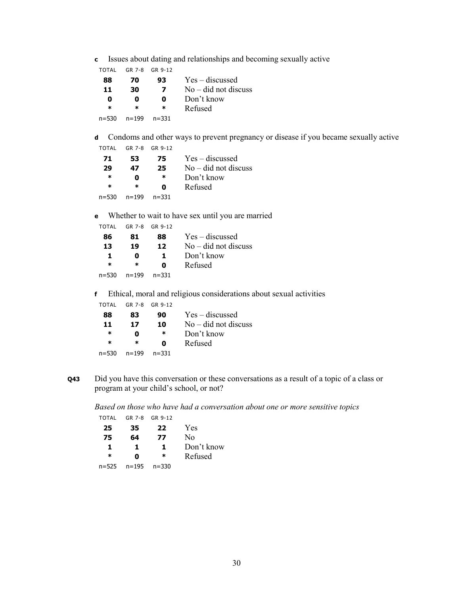**c** Issues about dating and relationships and becoming sexually active

| TOTAL  |           | GR 7-8 GR 9-12 |                        |
|--------|-----------|----------------|------------------------|
| 88     | 70        | 93             | $Yes - discussed$      |
| 11     | 30        | 7              | $No - did not discuss$ |
| 0      | o         | 0              | Don't know             |
| $\ast$ | ж         | ж              | Refused                |
| n=530  | $n = 199$ | $n = 331$      |                        |

**d** Condoms and other ways to prevent pregnancy or disease if you became sexually active

| TOTAL | GR 7-8 | GR 9-12 |
|-------|--------|---------|
|       |        |         |

| 71        | 53        | 75        | $Yes - discussed$      |
|-----------|-----------|-----------|------------------------|
| 29        | 47        | 25        | $No - did not discuss$ |
| ж         | Ω         | ∗         | Don't know             |
| $\ast$    | ж         | n         | Refused                |
| $n = 530$ | $n = 199$ | $n = 331$ |                        |

**e** Whether to wait to have sex until you are married

| TOTAL     |           | GR 7-8 GR 9-12 |                        |
|-----------|-----------|----------------|------------------------|
| 86        | 81        | 88             | $Yes - discussed$      |
| 13        | 19        | 12             | $No$ – did not discuss |
| 1         | 0         | ъ.             | Don't know             |
| $\ast$    | ж         | Ω              | Refused                |
| $n = 530$ | $n = 199$ | $n = 331$      |                        |

**f** Ethical, moral and religious considerations about sexual activities

| TOTAI |           | GR 7-8 GR 9-12 |                        |
|-------|-----------|----------------|------------------------|
| 88    | 83        | 90             | Yes – discussed        |
| 11    | 17        | 10             | $No$ – did not discuss |
| ∗     | Ω         | ∗              | Don't know             |
| ж     | $\ast$    | Ω              | Refused                |
| n=530 | $n = 199$ | $n = 331$      |                        |
|       |           |                |                        |

**Q43** Did you have this conversation or these conversations as a result of a topic of a class or program at your child's school, or not?

*Based on those who have had a conversation about one or more sensitive topics* 

| TOTAL  | GR 7-8 | GR 9-12   |            |
|--------|--------|-----------|------------|
| 25     | 35     | 22        | Yes        |
| 75     | 64     | 77        | No         |
| 1      | 1      | 1         | Don't know |
| $\ast$ | 0      | $\ast$    | Refused    |
| n=525  | n=195  | $n = 330$ |            |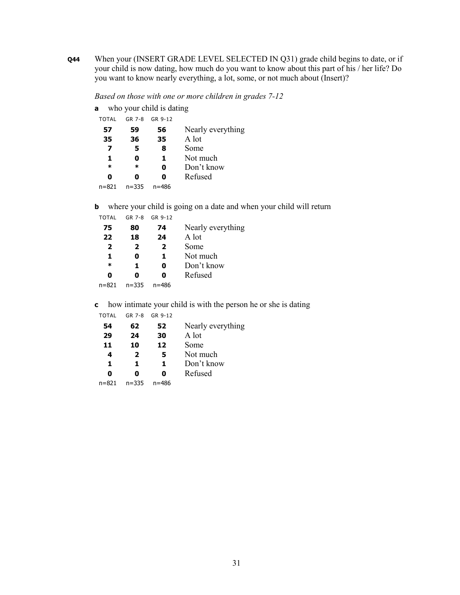**Q44** When your (INSERT GRADE LEVEL SELECTED IN Q31) grade child begins to date, or if your child is now dating, how much do you want to know about this part of his / her life? Do you want to know nearly everything, a lot, some, or not much about (Insert)?

*Based on those with one or more children in grades 7-12* 

| a            | who your child is dating |         |                   |  |  |
|--------------|--------------------------|---------|-------------------|--|--|
| <b>TOTAL</b> | GR 7-8                   | GR 9-12 |                   |  |  |
| 57           | 59                       | 56      | Nearly everything |  |  |
| 35           | 36                       | 35      | A lot             |  |  |
| 7            | 5                        | 8       | Some              |  |  |
| 1            | 0                        | 1       | Not much          |  |  |
| $\ast$       | ж                        | Ω       | Don't know        |  |  |
| Ω            | Ω                        | Ω       | Refused           |  |  |
| $n = 821$    | $n = 335$                | n=486   |                   |  |  |

**b** where your child is going on a date and when your child will return

| <b>TOTAL</b>   | GR 7-8    | GR 9-12 |                   |
|----------------|-----------|---------|-------------------|
| 75             | 80        | 74      | Nearly everything |
| 22             | 18        | 24      | A lot             |
| $\overline{2}$ | 2         | 2       | Some              |
| 1              | Ω         | 1       | Not much          |
| $\ast$         | 1         | O       | Don't know        |
| 0              | Ω         | Ω       | Refused           |
| $n = 821$      | $n = 335$ | n=486   |                   |

**c** how intimate your child is with the person he or she is dating

| <b>TOTAL</b> | GR 7-8    | GR 9-12 |                   |
|--------------|-----------|---------|-------------------|
| 54           | 62        | 52      | Nearly everything |
| 29           | 24        | 30      | A lot             |
| 11           | 10        | 12      | Some              |
| 4            | 2         | 5       | Not much          |
| 1            | 1.        | 1.      | Don't know        |
| Ω            | Ω         | Ω       | Refused           |
| $n = 821$    | $n = 335$ | n=486   |                   |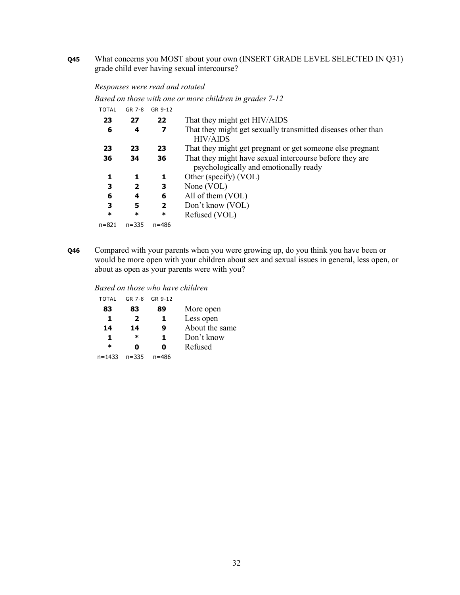**Q45** What concerns you MOST about your own (INSERT GRADE LEVEL SELECTED IN Q31) grade child ever having sexual intercourse?

# *Responses were read and rotated*

*Based on those with one or more children in grades 7-12* 

| TOTAL  | GR 7-8       | GR 9-12                 |                                                                                 |
|--------|--------------|-------------------------|---------------------------------------------------------------------------------|
| 23     | 27           | 22                      | That they might get HIV/AIDS                                                    |
| 6      | 4            | 7                       | That they might get sexually transmitted diseases other than<br><b>HIV/AIDS</b> |
| 23     | 23           | 23                      | That they might get pregnant or get someone else pregnant                       |
| 36     | 34           | 36                      | That they might have sexual intercourse before they are                         |
|        |              |                         | psychologically and emotionally ready                                           |
| 1      | 1            | 1                       | Other (specify) (VOL)                                                           |
| 3      | $\mathbf{2}$ | 3                       | None (VOL)                                                                      |
| 6      | 4            | 6                       | All of them (VOL)                                                               |
| 3      | 5            | $\overline{\mathbf{2}}$ | Don't know (VOL)                                                                |
| $\ast$ | $\ast$       | $\ast$                  | Refused (VOL)                                                                   |
| n=821  | $n = 335$    | $n = 486$               |                                                                                 |
|        |              |                         |                                                                                 |

**Q46** Compared with your parents when you were growing up, do you think you have been or would be more open with your children about sex and sexual issues in general, less open, or about as open as your parents were with you?

#### *Based on those who have children*

| <b>TOTAL</b> | GR 7-8       | GR 9-12 |                |
|--------------|--------------|---------|----------------|
| 83           | 83           | 89      | More open      |
| 1            | $\mathbf{2}$ | 1       | Less open      |
| 14           | 14           | 9       | About the same |
| 1            | ж            | 1       | Don't know     |
| $\ast$       | Ω            | Ω       | Refused        |
| n=1433       | $n = 335$    | n=486   |                |
|              |              |         |                |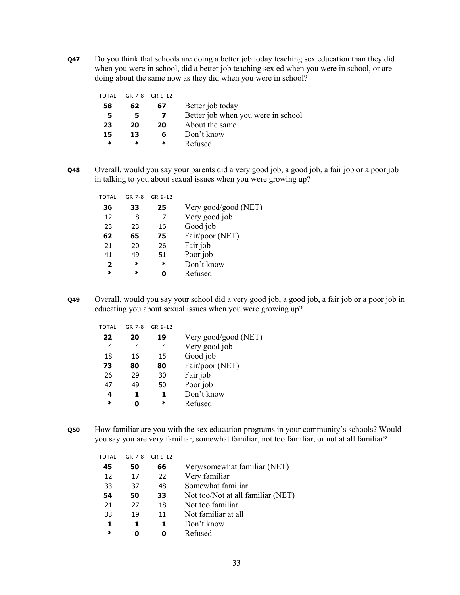**Q47** Do you think that schools are doing a better job today teaching sex education than they did when you were in school, did a better job teaching sex ed when you were in school, or are doing about the same now as they did when you were in school?

| TOTAL  | GR 7-8 | GR 9-12 |                                    |
|--------|--------|---------|------------------------------------|
| 58     | 62     | 67      | Better job today                   |
| -5.    |        |         | Better job when you were in school |
| 23     | 20     | 20      | About the same                     |
| 15     | 13     | 6       | Don't know                         |
| $\ast$ | ж      | ж       | Refused                            |
|        |        |         |                                    |

**Q48** Overall, would you say your parents did a very good job, a good job, a fair job or a poor job in talking to you about sexual issues when you were growing up?

| TOTAL          | GR 7-8 | GR 9-12 |                      |
|----------------|--------|---------|----------------------|
| 36             | 33     | 25      | Very good/good (NET) |
| 12             | 8      | 7       | Very good job        |
| 23             | 23     | 16      | Good job             |
| 62             | 65     | 75      | Fair/poor (NET)      |
| 21             | 20     | 26      | Fair job             |
| 41             | 49     | 51      | Poor job             |
| $\overline{2}$ | *      | *       | Don't know           |
| $\ast$         | ж      |         | Refused              |
|                |        |         |                      |

**Q49** Overall, would you say your school did a very good job, a good job, a fair job or a poor job in educating you about sexual issues when you were growing up?

| TOTAL  | GR 7-8 | GR 9-12 |                      |
|--------|--------|---------|----------------------|
| 22     | 20     | 19      | Very good/good (NET) |
| 4      | 4      | 4       | Very good job        |
| 18     | 16     | 15      | Good job             |
| 73     | 80     | 80      | Fair/poor (NET)      |
| 26     | 29     | 30      | Fair job             |
| 47     | 49     | 50      | Poor job             |
| 4      | 1      | 1.      | Don't know           |
| $\ast$ |        | *       | Refused              |

**Q50** How familiar are you with the sex education programs in your community's schools? Would you say you are very familiar, somewhat familiar, not too familiar, or not at all familiar?

| TOTAL | GR 7-8 | GR 9-12 |                                   |
|-------|--------|---------|-----------------------------------|
| 45    | 50     | 66      | Very/somewhat familiar (NET)      |
| 12    | 17     | 22      | Very familiar                     |
| 33    | 37     | 48      | Somewhat familiar                 |
| 54    | 50     | 33      | Not too/Not at all familiar (NET) |
| 21    | 27     | 18      | Not too familiar                  |
| 33    | 19     | 11      | Not familiar at all               |
| 1.    | 1.     | 1.      | Don't know                        |
| ж     |        | O       | Refused                           |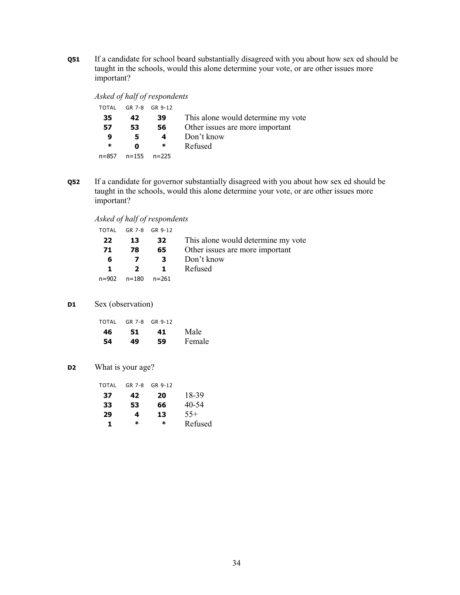**Q51** If a candidate for school board substantially disagreed with you about how sex ed should be taught in the schools, would this alone determine your vote, or are other issues more important?

|     | Asked of half of respondents |                                    |
|-----|------------------------------|------------------------------------|
|     | TOTAL GR 7-8 GR 9-12         |                                    |
| 35. | 42 39                        | This alone would determine my vote |
|     | CC -                         | Other iccuse are more important    |

| 57     | 53.                     | 56. | Other issues are more important |
|--------|-------------------------|-----|---------------------------------|
| q      | 5                       | 4   | Don't know                      |
| $\ast$ | n                       | *   | Refused                         |
|        | $n=857$ $n=155$ $n=225$ |     |                                 |

**Q52** If a candidate for governor substantially disagreed with you about how sex ed should be taught in the schools, would this alone determine your vote, or are other issues more important?

*Asked of half of respondents* 

| TOTAL | GR 7-8 GR 9-12          |                         |                                    |
|-------|-------------------------|-------------------------|------------------------------------|
| 22    | 13                      | 32                      | This alone would determine my vote |
| 71    | 78                      | 65                      | Other issues are more important    |
| 6     |                         | $\overline{\mathbf{3}}$ | Don't know                         |
| 1.    | $\overline{\mathbf{2}}$ | $\blacksquare$          | Refused                            |
| n=902 | $n = 180$               | $n = 261$               |                                    |

#### **D1** Sex (observation)

| TOTAL |    | GR 7-8 GR 9-12 |        |
|-------|----|----------------|--------|
| 46    | 51 | 41             | Male   |
| 54    | 49 | 59             | Female |

**D2** What is your age?

| TOTAL | GR 7-8 | GR 9-12 |         |
|-------|--------|---------|---------|
| 37    | 42     | 20      | 18-39   |
| 33    | 53     | 66      | 40-54   |
| 29    | 4      | 13      | $55+$   |
| 1.    | ж      | ж       | Refused |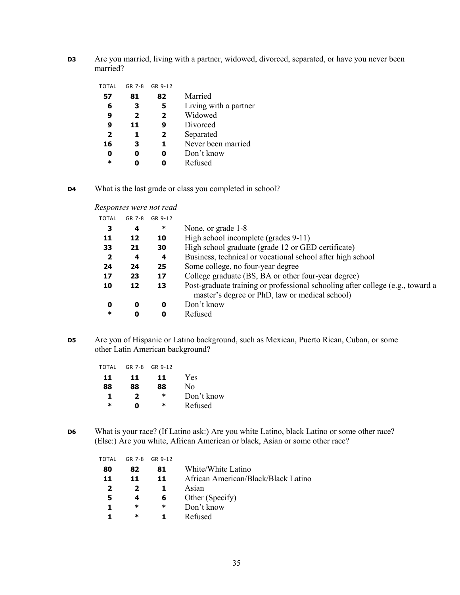**D3** Are you married, living with a partner, widowed, divorced, separated, or have you never been married?

| TOTAL                   | GR 7-8       | GR 9-12                 |                       |
|-------------------------|--------------|-------------------------|-----------------------|
| 57                      | 81           | 82                      | Married               |
| 6                       | з            | 5                       | Living with a partner |
| 9                       | $\mathbf{2}$ | $\overline{2}$          | Widowed               |
| 9                       | 11           | 9                       | Divorced              |
| $\overline{\mathbf{2}}$ | 1            | $\overline{\mathbf{2}}$ | Separated             |
| 16                      | 3            | 1                       | Never been married    |
| 0                       |              | Ω                       | Don't know            |
| $\ast$                  |              |                         | Refused               |
|                         |              |                         |                       |

**D4** What is the last grade or class you completed in school?

*Responses were not read* 

| <b>TOTAL</b>   | GR 7-8 | GR 9-12 |                                                                                                                                  |
|----------------|--------|---------|----------------------------------------------------------------------------------------------------------------------------------|
| 3              | 4      | ∗       | None, or grade 1-8                                                                                                               |
| 11             | 12     | 10      | High school incomplete (grades 9-11)                                                                                             |
| 33             | 21     | 30      | High school graduate (grade 12 or GED certificate)                                                                               |
| $\overline{2}$ | 4      | 4       | Business, technical or vocational school after high school                                                                       |
| 24             | 24     | 25      | Some college, no four-year degree                                                                                                |
| 17             | 23     | 17      | College graduate (BS, BA or other four-year degree)                                                                              |
| 10             | 12     | 13      | Post-graduate training or professional schooling after college (e.g., toward a<br>master's degree or PhD, law or medical school) |
| 0              | 0      | 0       | Don't know                                                                                                                       |
| $\ast$         | 0      | 0       | Refused                                                                                                                          |
|                |        |         |                                                                                                                                  |

**D5** Are you of Hispanic or Latino background, such as Mexican, Puerto Rican, Cuban, or some other Latin American background?

| TOTAL  |     | GR 7-8 GR 9-12 |            |
|--------|-----|----------------|------------|
| 11     | 11. | 11.            | Yes        |
| 88     | 88  | 88             | Nο         |
| 1      | 2   | $\ast$         | Don't know |
| $\ast$ | n   | $\ast$         | Refused    |

**D6** What is your race? (If Latino ask:) Are you white Latino, black Latino or some other race? (Else:) Are you white, African American or black, Asian or some other race?

| TOTAL          | GR 7-8 | GR 9-12 |                                     |
|----------------|--------|---------|-------------------------------------|
| 80             | 82     | 81      | White/White Latino                  |
| 11             | 11     | 11      | African American/Black/Black Latino |
| $\overline{2}$ |        |         | Asian                               |
| 5              |        | 6       | Other (Specify)                     |
|                | ∗      | ∗       | Don't know                          |
|                | ∗      |         | Refused                             |
|                |        |         |                                     |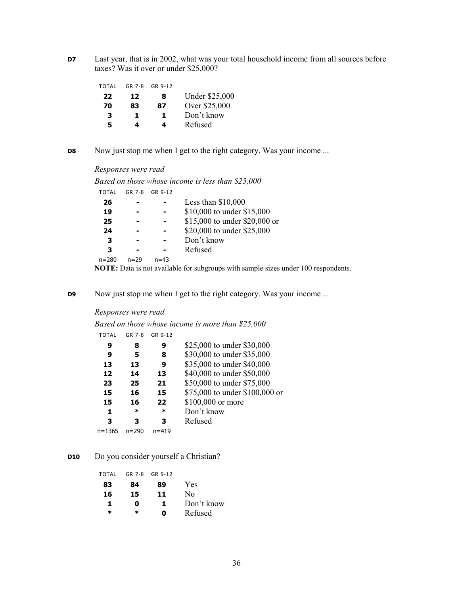**D7** Last year, that is in 2002, what was your total household income from all sources before taxes? Was it over or under \$25,000?

| GR 7-8 |    |                       |
|--------|----|-----------------------|
| 12     | 8  | <b>Under \$25,000</b> |
| 83     |    | Over \$25,000         |
| Т.     | п. | Don't know            |
| 4      | 4  | Refused               |
|        |    | GR 9-12<br>87         |

**D8** Now just stop me when I get to the right category. Was your income ...

#### *Responses were read*

*Based on those whose income is less than \$25,000* 

| <b>TOTAL</b> | GR 7-8   | GR 9-12  |                               |
|--------------|----------|----------|-------------------------------|
| 26           |          |          | Less than $$10,000$           |
| 19           |          |          | \$10,000 to under \$15,000    |
| 25           |          |          | \$15,000 to under \$20,000 or |
| 24           |          |          | \$20,000 to under \$25,000    |
| з            |          |          | Don't know                    |
| З            |          |          | Refused                       |
| n=280        | $n = 29$ | $n = 43$ |                               |
|              |          |          |                               |

**NOTE:** Data is not available for subgroups with sample sizes under 100 respondents.

**D9** Now just stop me when I get to the right category. Was your income ...

#### *Responses were read*

|  | Based on those whose income is more than \$25,000 |  |  |  |
|--|---------------------------------------------------|--|--|--|
|  | TOTAI GR 7-8 GR 9-12                              |  |  |  |

| IUIAL  | GR 7-0    | <b>GR 9-12</b> |                                |
|--------|-----------|----------------|--------------------------------|
| 9      | 8         | 9              | \$25,000 to under \$30,000     |
| 9      | 5         | 8              | \$30,000 to under \$35,000     |
| 13     | 13        | 9              | \$35,000 to under \$40,000     |
| 12     | 14        | 13             | \$40,000 to under \$50,000     |
| 23     | 25        | 21             | \$50,000 to under \$75,000     |
| 15     | 16        | 15             | \$75,000 to under \$100,000 or |
| 15     | 16        | 22             | \$100,000 or more              |
| 1      | *         | *              | Don't know                     |
| 3      | з         | з              | Refused                        |
| n=1365 | $n = 290$ | $n = 419$      |                                |

# **D10** Do you consider yourself a Christian?

| TOTAL  | GR 7-8 | GR 9-12 |            |
|--------|--------|---------|------------|
| 83     | 84     | 89      | Yes        |
| 16     | 15     | 11      | Nο         |
| 1      | Ω      | 1.      | Don't know |
| $\ast$ | *      | n       | Refused    |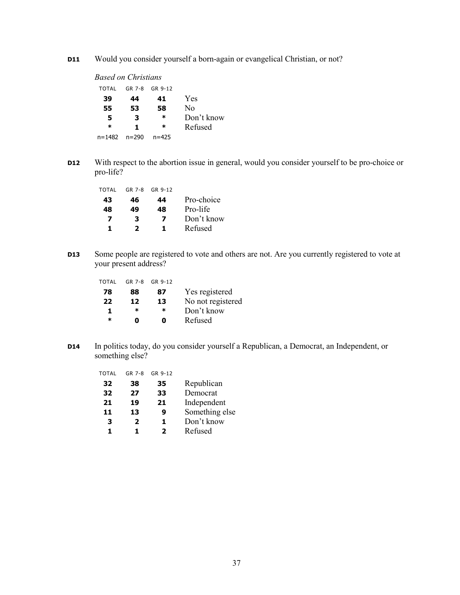**D11** Would you consider yourself a born-again or evangelical Christian, or not?

| Based on Christians |           |           |            |
|---------------------|-----------|-----------|------------|
| TOTAL               | GR 7-8    | GR 9-12   |            |
| 39                  | 44        | 41        | Yes        |
| 55                  | 53        | 58        | No         |
| 5                   | 3         | ж         | Don't know |
| ж                   | 1.        | ∗         | Refused    |
| $n = 1482$          | $n = 290$ | $n = 425$ |            |

**D12** With respect to the abortion issue in general, would you consider yourself to be pro-choice or pro-life?

| TOTAL | GR 7-8 | GR 9-12 |            |
|-------|--------|---------|------------|
| 43    | 46     | 44      | Pro-choice |
| 48    | 49     | 48      | Pro-life   |
| 7     | 3      | 7       | Don't know |
| 1.    | 2      | ъ.      | Refused    |

**D13** Some people are registered to vote and others are not. Are you currently registered to vote at your present address?

| GR 7-8 GR 9-12 |                   |
|----------------|-------------------|
| 87             | Yes registered    |
| 13             | No not registered |
| ж              | Don't know        |
| n              | Refused           |
|                |                   |

**D14** In politics today, do you consider yourself a Republican, a Democrat, an Independent, or something else?

| TOTAL | GR 7-8 | GR 9-12 |                |
|-------|--------|---------|----------------|
| 32    | 38     | 35      | Republican     |
| 32    | 27     | 33      | Democrat       |
| 21    | 19     | 21      | Independent    |
| 11    | 13     | 9       | Something else |
| 3     | 2      | 1       | Don't know     |
| 1.    | 1.     | 2       | Refused        |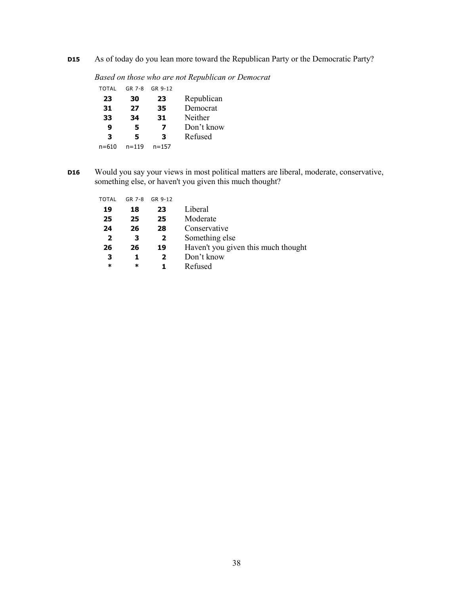**D15** As of today do you lean more toward the Republican Party or the Democratic Party?

*Based on those who are not Republican or Democrat* 

| TOTAL | $GR$ 7-8  | GR 9-12   |            |
|-------|-----------|-----------|------------|
| 23    | 30        | 23        | Republican |
| 31    | 27        | 35        | Democrat   |
| 33    | 34        | 31        | Neither    |
| 9     | 5         | 7         | Don't know |
| 3     | 5.        | з         | Refused    |
| n=610 | $n = 119$ | $n = 157$ |            |

**D16** Would you say your views in most political matters are liberal, moderate, conservative, something else, or haven't you given this much thought?

| TOTAL          | GR 7-8 | GR 9-12      |                                     |
|----------------|--------|--------------|-------------------------------------|
| 19             | 18     | 23           | Liberal                             |
| 25             | 25     | 25           | Moderate                            |
| 24             | 26     | 28           | Conservative                        |
| $\overline{2}$ | 3      | $\mathbf{2}$ | Something else                      |
| 26             | 26     | 19           | Haven't you given this much thought |
| 3              |        | 2            | Don't know                          |
| ∗              | $\ast$ |              | Refused                             |
|                |        |              |                                     |